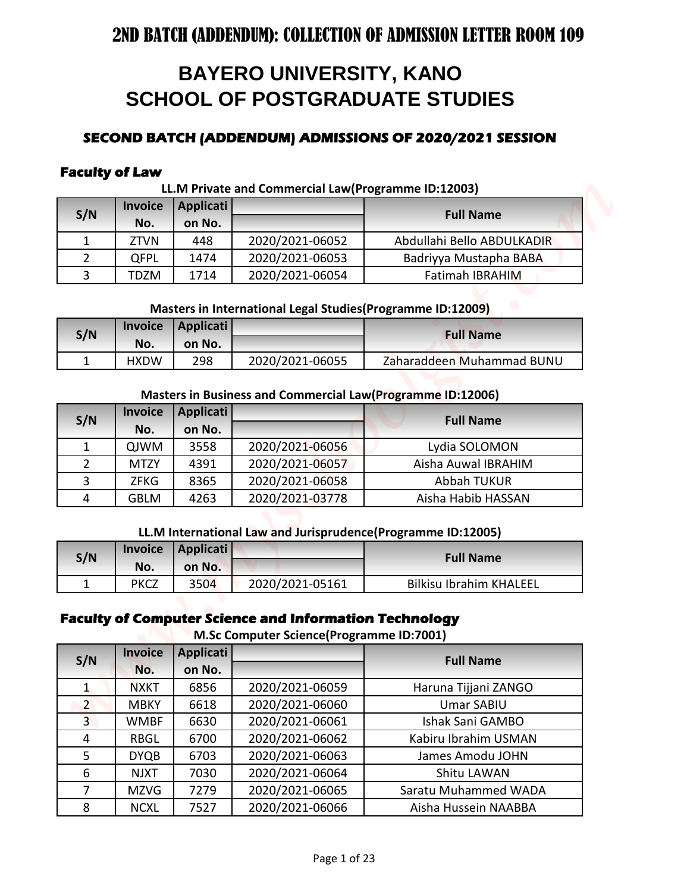# **BAYERO UNIVERSITY, KANO SCHOOL OF POSTGRADUATE STUDIES**

# **SECOND BATCH (ADDENDUM) ADMISSIONS OF 2020/2021 SESSION**

### **Faculty of Law**

#### **LL.M Private and Commercial Law(Programme ID:12003)**

| S/N | <b>Invoice</b>   | Applicati |                 | <b>Full Name</b>           |
|-----|------------------|-----------|-----------------|----------------------------|
|     | No.              | on No.    |                 |                            |
|     | <b>ZTVN</b>      | 448       | 2020/2021-06052 | Abdullahi Bello ABDULKADIR |
|     | <b>QFPL</b>      | 1474      | 2020/2021-06053 | Badriyya Mustapha BABA     |
|     | D7M <sup>-</sup> | 1714      | 2020/2021-06054 | <b>Fatimah IBRAHIM</b>     |

#### **Masters in International Legal Studies(Programme ID:12009)**

| S/N |             | Invoice   Applicati |                 | <b>Full Name</b>          |
|-----|-------------|---------------------|-----------------|---------------------------|
|     | No.         | on No.              |                 |                           |
|     | <b>HXDW</b> | 298                 | 2020/2021-06055 | Zaharaddeen Muhammad BUNU |

#### **Masters in Business and Commercial Law(Programme ID:12006)**

| S/N           | <b>Invoice</b> | Applicati |                 | <b>Full Name</b>    |
|---------------|----------------|-----------|-----------------|---------------------|
|               | No.            | on No.    |                 |                     |
|               | QJWM           | 3558      | 2020/2021-06056 | Lydia SOLOMON       |
| $\mathcal{P}$ | <b>MTZY</b>    | 4391      | 2020/2021-06057 | Aisha Auwal IBRAHIM |
| 3             | <b>ZFKG</b>    | 8365      | 2020/2021-06058 | <b>Abbah TUKUR</b>  |
| 4             | <b>GBLM</b>    | 4263      | 2020/2021-03778 | Aisha Habib HASSAN  |

#### **LL.M International Law and Jurisprudence(Programme ID:12005)**

| S/N | <b>Invoice</b> | Applicati |                 | <b>Full Name</b>               |
|-----|----------------|-----------|-----------------|--------------------------------|
|     | No.            | on No.    |                 |                                |
|     | <b>PKCZ</b>    | 3504      | 2020/2021-05161 | <b>Bilkisu Ibrahim KHALEEL</b> |

## **Faculty of Computer Science and Information Technology**

**M.Sc Computer Science(Programme ID:7001)**

|                     |                            |                  | <b>BAYERO UNIVERSITY, KANO</b>                                |                                                              |
|---------------------|----------------------------|------------------|---------------------------------------------------------------|--------------------------------------------------------------|
|                     |                            |                  |                                                               |                                                              |
|                     |                            |                  |                                                               | <b>SCHOOL OF POSTGRADUATE STUDIES</b>                        |
|                     |                            |                  |                                                               |                                                              |
|                     |                            |                  |                                                               | SECOND BATCH (ADDENDUM) ADMISSIONS OF 2020/2021 SESSION      |
|                     |                            |                  |                                                               |                                                              |
|                     | <b>Faculty of Law</b>      |                  |                                                               |                                                              |
|                     | Invoice                    | <b>Applicati</b> | LL.M Private and Commercial Law(Programme ID:12003)           |                                                              |
| S/N                 | No.                        | on No.           |                                                               | <b>Full Name</b>                                             |
| 1                   | <b>ZTVN</b>                | 448              | 2020/2021-06052                                               | Abdullahi Bello ABDULKADIR                                   |
| $\overline{2}$      | QFPL                       | 1474             | 2020/2021-06053                                               | Badriyya Mustapha BABA                                       |
| $\overline{3}$      | <b>TDZM</b>                | 1714             | 2020/2021-06054                                               | <b>Fatimah IBRAHIM</b>                                       |
|                     |                            |                  |                                                               |                                                              |
|                     |                            |                  | Masters in International Legal Studies (Programme ID:12009)   |                                                              |
|                     | Invoice                    | <b>Applicati</b> |                                                               | <b>Full Name</b>                                             |
| S/N                 | No.                        | on No.           |                                                               |                                                              |
| $\mathbf{1}$        | <b>HXDW</b>                | 298              | 2020/2021-06055                                               | Zaharaddeen Muhammad BUNU                                    |
|                     |                            |                  |                                                               |                                                              |
|                     |                            |                  |                                                               | Masters in Business and Commercial Law(Programme ID:12006)   |
| S/N                 | <b>Invoice</b>             | <b>Applicati</b> |                                                               | <b>Full Name</b>                                             |
|                     | No.                        | on No.           |                                                               |                                                              |
| 1                   | QJWM                       | 3558             | 2020/2021-06056                                               | Lydia SOLOMON                                                |
| $\overline{2}$      | <b>MTZY</b>                | 4391             | 2020/2021-06057                                               | Aisha Auwal IBRAHIM                                          |
| 3                   | <b>ZFKG</b>                | 8365             | 2020/2021-06058                                               | <b>Abbah TUKUR</b>                                           |
| 4                   | <b>GBLM</b>                | 4263             | 2020/2021-03778                                               | Aisha Habib HASSAN                                           |
|                     |                            |                  |                                                               | LL.M International Law and Jurisprudence(Programme ID:12005) |
|                     | <b>Invoice</b>             | Applicati        |                                                               |                                                              |
| S/N                 | No.                        | on No.           |                                                               | <b>Full Name</b>                                             |
| $\mathbf{1}$        | <b>PKCZ</b>                | 3504             | 2020/2021-05161                                               | <b>Bilkisu Ibrahim KHALEEL</b>                               |
|                     |                            |                  |                                                               |                                                              |
|                     |                            |                  | <b>Faculty of Computer Science and Information Technology</b> |                                                              |
|                     |                            |                  | M.Sc Computer Science(Programme ID:7001)                      |                                                              |
| S/N                 | <b>Invoice</b>             | <b>Applicati</b> |                                                               | <b>Full Name</b>                                             |
|                     | No.                        | on No.           |                                                               |                                                              |
| $\mathbf{1}$        | <b>NXKT</b>                | 6856             | 2020/2021-06059                                               | Haruna Tijjani ZANGO                                         |
| $\overline{2}$      | <b>MBKY</b>                | 6618             | 2020/2021-06060                                               | <b>Umar SABIU</b>                                            |
| $\overline{3}$      | <b>WMBF</b>                | 6630             | 2020/2021-06061                                               | Ishak Sani GAMBO                                             |
| 4                   | <b>RBGL</b>                | 6700             | 2020/2021-06062                                               | Kabiru Ibrahim USMAN                                         |
| 5                   | <b>DYQB</b>                | 6703             | 2020/2021-06063                                               | James Amodu JOHN                                             |
|                     | <b>NJXT</b>                | 7030             | 2020/2021-06064                                               | Shitu LAWAN                                                  |
| 6                   |                            |                  |                                                               |                                                              |
| $\overline{7}$<br>8 | <b>MZVG</b><br><b>NCXL</b> | 7279<br>7527     | 2020/2021-06065<br>2020/2021-06066                            | Saratu Muhammed WADA<br>Aisha Hussein NAABBA                 |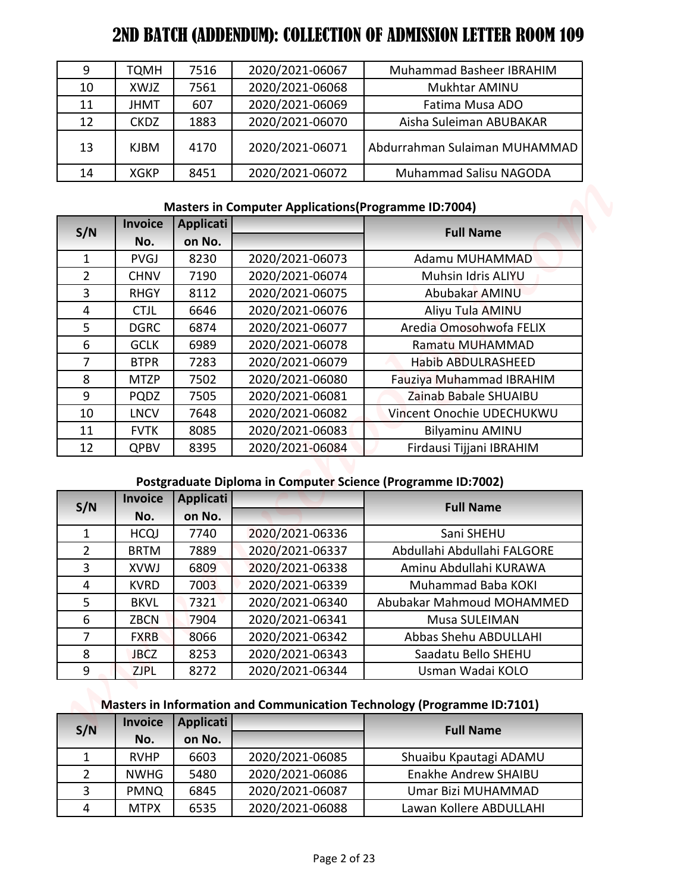| 9  | <b>TQMH</b> | 7516 | 2020/2021-06067 | Muhammad Basheer IBRAHIM      |
|----|-------------|------|-----------------|-------------------------------|
| 10 | XWJZ        | 7561 | 2020/2021-06068 | Mukhtar AMINU                 |
| 11 | <b>JHMT</b> | 607  | 2020/2021-06069 | Fatima Musa ADO               |
| 12 | <b>CKDZ</b> | 1883 | 2020/2021-06070 | Aisha Suleiman ABUBAKAR       |
| 13 | <b>KJBM</b> | 4170 | 2020/2021-06071 | Abdurrahman Sulaiman MUHAMMAD |
| 14 | <b>XGKP</b> | 8451 | 2020/2021-06072 | Muhammad Salisu NAGODA        |

# **Masters in Computer Applications(Programme ID:7004)**

| 9                                | <b>TQMH</b>                | 7516             | 2020/2021-06067                                             | Muhammad Basheer IBRAHIM                                                |
|----------------------------------|----------------------------|------------------|-------------------------------------------------------------|-------------------------------------------------------------------------|
| 10                               | XWJZ                       | 7561             | 2020/2021-06068                                             | Mukhtar AMINU                                                           |
| 11                               | <b>JHMT</b>                | 607              | 2020/2021-06069                                             | Fatima Musa ADO                                                         |
| 12                               | <b>CKDZ</b>                | 1883             | 2020/2021-06070                                             | Aisha Suleiman ABUBAKAR                                                 |
|                                  |                            |                  |                                                             |                                                                         |
| 13                               | <b>KJBM</b>                | 4170             | 2020/2021-06071                                             | Abdurrahman Sulaiman MUHAMMAD                                           |
| 14                               | <b>XGKP</b>                | 8451             | 2020/2021-06072                                             | Muhammad Salisu NAGODA                                                  |
|                                  |                            |                  | <b>Masters in Computer Applications (Programme ID:7004)</b> |                                                                         |
|                                  | Invoice                    | <b>Applicati</b> |                                                             |                                                                         |
| S/N                              | No.                        | on No.           |                                                             | <b>Full Name</b>                                                        |
| $\mathbf{1}$                     | <b>PVGJ</b>                | 8230             | 2020/2021-06073                                             | Adamu MUHAMMAD                                                          |
| $\overline{2}$                   | <b>CHNV</b>                | 7190             | 2020/2021-06074                                             | Muhsin Idris ALIYU                                                      |
| $\overline{3}$                   | <b>RHGY</b>                | 8112             | 2020/2021-06075                                             | Abubakar AMINU                                                          |
| 4                                | <b>CTJL</b>                | 6646             | 2020/2021-06076                                             | Aliyu Tula AMINU                                                        |
| 5                                | <b>DGRC</b>                | 6874             | 2020/2021-06077                                             | Aredia Omosohwofa FELIX                                                 |
| 6                                | <b>GCLK</b>                | 6989             | 2020/2021-06078                                             | Ramatu MUHAMMAD                                                         |
| $\overline{7}$                   | <b>BTPR</b>                | 7283             | 2020/2021-06079                                             | Habib ABDULRASHEED                                                      |
| 8                                | <b>MTZP</b>                | 7502             | 2020/2021-06080                                             | Fauziya Muhammad IBRAHIM                                                |
| 9                                | <b>PQDZ</b>                | 7505             | 2020/2021-06081                                             | Zainab Babale SHUAIBU                                                   |
| 10                               | <b>LNCV</b>                | 7648             | 2020/2021-06082                                             | Vincent Onochie UDECHUKWU                                               |
| 11                               | <b>FVTK</b>                | 8085             | 2020/2021-06083                                             | <b>Bilyaminu AMINU</b>                                                  |
| 12                               | <b>QPBV</b>                | 8395             | 2020/2021-06084                                             | Firdausi Tijjani IBRAHIM                                                |
|                                  |                            |                  |                                                             | Postgraduate Diploma in Computer Science (Programme ID:7002)            |
|                                  | <b>Invoice</b>             | <b>Applicati</b> |                                                             |                                                                         |
| S/N                              | No.                        | on No.           |                                                             | <b>Full Name</b>                                                        |
|                                  | <b>HCQJ</b>                | 7740             | 2020/2021-06336                                             | Sani SHEHU                                                              |
|                                  | <b>BRTM</b>                | 7889             | 2020/2021-06337                                             | Abdullahi Abdullahi FALGORE                                             |
| $\mathbf{1}$                     |                            | 6809             | 2020/2021-06338                                             | Aminu Abdullahi KURAWA                                                  |
| $\overline{2}$<br>$\overline{3}$ | <b>XVWJ</b>                |                  | 2020/2021-06339                                             | Muhammad Baba KOKI                                                      |
| 4                                | <b>KVRD</b>                | 7003             |                                                             |                                                                         |
| 5                                | <b>BKVL</b>                | 7321             | 2020/2021-06340                                             | Abubakar Mahmoud MOHAMMED                                               |
| 6                                | <b>ZBCN</b>                | 7904             | 2020/2021-06341                                             | Musa SULEIMAN                                                           |
| $\overline{7}$                   | <b>FXRB</b>                | 8066             | 2020/2021-06342                                             | Abbas Shehu ABDULLAHI                                                   |
| 8                                | <b>JBCZ</b>                | 8253             | 2020/2021-06343                                             | Saadatu Bello SHEHU                                                     |
| 9                                | <b>ZJPL</b>                | 8272             | 2020/2021-06344                                             | Usman Wadai KOLO                                                        |
|                                  |                            |                  |                                                             |                                                                         |
|                                  |                            |                  |                                                             | Masters in Information and Communication Technology (Programme ID:7101) |
|                                  | <b>Invoice</b>             | <b>Applicati</b> |                                                             |                                                                         |
| S/N                              | No.                        | on No.           |                                                             | <b>Full Name</b>                                                        |
| $\mathbf{1}$                     | <b>RVHP</b>                | 6603             | 2020/2021-06085                                             | Shuaibu Kpautagi ADAMU                                                  |
| $\overline{2}$                   | <b>NWHG</b>                | 5480             | 2020/2021-06086                                             | Enakhe Andrew SHAIBU                                                    |
| 3<br>4                           | <b>PMNQ</b><br><b>MTPX</b> | 6845<br>6535     | 2020/2021-06087<br>2020/2021-06088                          | Umar Bizi MUHAMMAD<br>Lawan Kollere ABDULLAHI                           |

# **Postgraduate Diploma in Computer Science (Programme ID:7002)**

| S/N | <b>Invoice</b> | <b>Applicati</b> |                 | <b>Full Name</b>            |
|-----|----------------|------------------|-----------------|-----------------------------|
|     | No.            | on No.           |                 |                             |
| 1   | <b>HCQJ</b>    | 7740             | 2020/2021-06336 | Sani SHEHU                  |
| 2   | <b>BRTM</b>    | 7889             | 2020/2021-06337 | Abdullahi Abdullahi FALGORE |
| 3   | <b>XVWJ</b>    | 6809             | 2020/2021-06338 | Aminu Abdullahi KURAWA      |
| 4   | <b>KVRD</b>    | 7003             | 2020/2021-06339 | Muhammad Baba KOKI          |
| 5   | <b>BKVL</b>    | 7321             | 2020/2021-06340 | Abubakar Mahmoud MOHAMMED   |
| 6   | <b>ZBCN</b>    | 7904             | 2020/2021-06341 | Musa SULEIMAN               |
|     | <b>FXRB</b>    | 8066             | 2020/2021-06342 | Abbas Shehu ABDULLAHI       |
| 8   | <b>JBCZ</b>    | 8253             | 2020/2021-06343 | Saadatu Bello SHEHU         |
| 9   | <b>ZJPL</b>    | 8272             | 2020/2021-06344 | Usman Wadai KOLO            |

# **Masters in Information and Communication Technology (Programme ID:7101)**

| S/N | <b>Invoice</b> | <b>Applicati</b> |                 | <b>Full Name</b>        |
|-----|----------------|------------------|-----------------|-------------------------|
|     | No.            | on No.           |                 |                         |
|     | <b>RVHP</b>    | 6603             | 2020/2021-06085 | Shuaibu Kpautagi ADAMU  |
|     | <b>NWHG</b>    | 5480             | 2020/2021-06086 | Enakhe Andrew SHAIBU    |
| 3   | <b>PMNQ</b>    | 6845             | 2020/2021-06087 | Umar Bizi MUHAMMAD      |
| 4   | <b>MTPX</b>    | 6535             | 2020/2021-06088 | Lawan Kollere ABDULLAHI |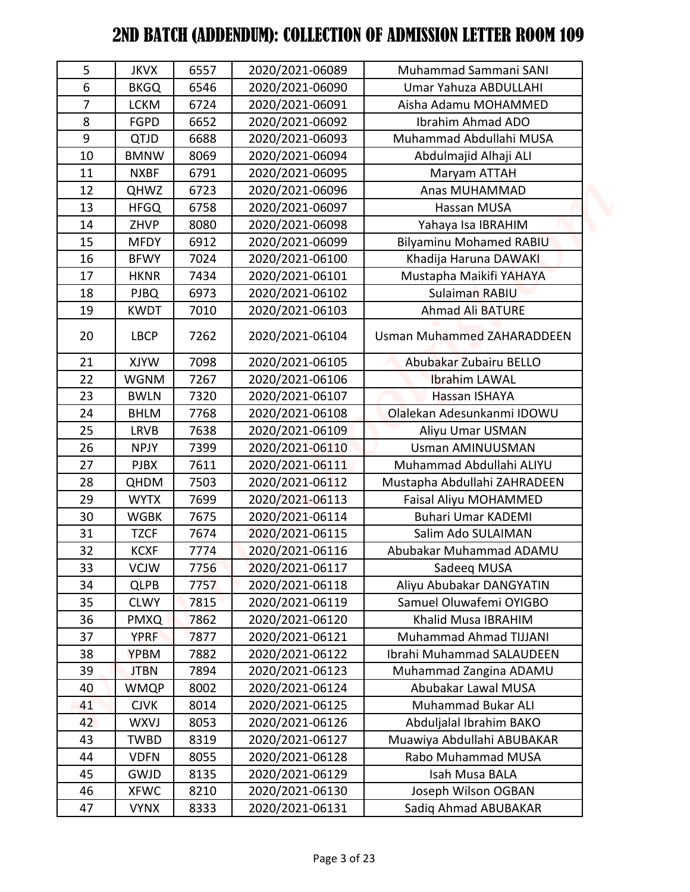| 5              | <b>JKVX</b> | 6557 | 2020/2021-06089 | Muhammad Sammani SANI             |
|----------------|-------------|------|-----------------|-----------------------------------|
| 6              | <b>BKGQ</b> | 6546 | 2020/2021-06090 | Umar Yahuza ABDULLAHI             |
| $\overline{7}$ | <b>LCKM</b> | 6724 | 2020/2021-06091 | Aisha Adamu MOHAMMED              |
| 8              | <b>FGPD</b> | 6652 | 2020/2021-06092 | Ibrahim Ahmad ADO                 |
| 9              | QTJD        | 6688 | 2020/2021-06093 | Muhammad Abdullahi MUSA           |
| 10             | <b>BMNW</b> | 8069 | 2020/2021-06094 | Abdulmajid Alhaji ALI             |
| 11             | <b>NXBF</b> | 6791 | 2020/2021-06095 | Maryam ATTAH                      |
| 12             | <b>QHWZ</b> | 6723 | 2020/2021-06096 | Anas MUHAMMAD                     |
| 13             | <b>HFGQ</b> | 6758 | 2020/2021-06097 | Hassan MUSA                       |
| 14             | ZHVP        | 8080 | 2020/2021-06098 | Yahaya Isa IBRAHIM                |
| 15             | <b>MFDY</b> | 6912 | 2020/2021-06099 | <b>Bilyaminu Mohamed RABIU</b>    |
| 16             | <b>BFWY</b> | 7024 | 2020/2021-06100 | Khadija Haruna DAWAKI             |
| 17             | <b>HKNR</b> | 7434 | 2020/2021-06101 | Mustapha Maikifi YAHAYA           |
| 18             | <b>PJBQ</b> | 6973 | 2020/2021-06102 | Sulaiman RABIU                    |
| 19             | <b>KWDT</b> | 7010 | 2020/2021-06103 | <b>Ahmad Ali BATURE</b>           |
| 20             | <b>LBCP</b> | 7262 | 2020/2021-06104 | <b>Usman Muhammed ZAHARADDEEN</b> |
| 21             | <b>XJYW</b> | 7098 | 2020/2021-06105 | Abubakar Zubairu BELLO            |
| 22             | <b>WGNM</b> | 7267 | 2020/2021-06106 | <b>Ibrahim LAWAL</b>              |
| 23             | <b>BWLN</b> | 7320 | 2020/2021-06107 | Hassan ISHAYA                     |
| 24             | <b>BHLM</b> | 7768 | 2020/2021-06108 | Olalekan Adesunkanmi IDOWU        |
| 25             | <b>LRVB</b> | 7638 | 2020/2021-06109 | Aliyu Umar USMAN                  |
| 26             | <b>NPJY</b> | 7399 | 2020/2021-06110 | <b>Usman AMINUUSMAN</b>           |
| 27             | <b>PJBX</b> | 7611 | 2020/2021-06111 | Muhammad Abdullahi ALIYU          |
| 28             | <b>QHDM</b> | 7503 | 2020/2021-06112 | Mustapha Abdullahi ZAHRADEEN      |
| 29             | <b>WYTX</b> | 7699 | 2020/2021-06113 | Faisal Aliyu MOHAMMED             |
| 30             | <b>WGBK</b> | 7675 | 2020/2021-06114 | <b>Buhari Umar KADEMI</b>         |
| 31             | <b>TZCF</b> | 7674 | 2020/2021-06115 | Salim Ado SULAIMAN                |
| 32             | <b>KCXF</b> | 7774 | 2020/2021-06116 | Abubakar Muhammad ADAMU           |
| 33             | <b>VCJW</b> | 7756 | 2020/2021-06117 | Sadeeq MUSA                       |
| 34             | <b>QLPB</b> | 7757 | 2020/2021-06118 | Aliyu Abubakar DANGYATIN          |
| 35             | <b>CLWY</b> | 7815 | 2020/2021-06119 | Samuel Oluwafemi OYIGBO           |
| 36             | <b>PMXQ</b> | 7862 | 2020/2021-06120 | Khalid Musa IBRAHIM               |
| 37             | <b>YPRF</b> | 7877 | 2020/2021-06121 | Muhammad Ahmad TIJJANI            |
| 38             | <b>YPBM</b> | 7882 | 2020/2021-06122 | Ibrahi Muhammad SALAUDEEN         |
| 39             | <b>JTBN</b> | 7894 | 2020/2021-06123 | Muhammad Zangina ADAMU            |
| 40             | <b>WMQP</b> | 8002 | 2020/2021-06124 | Abubakar Lawal MUSA               |
| 41             | <b>CJVK</b> | 8014 | 2020/2021-06125 | <b>Muhammad Bukar ALI</b>         |
| 42             | <b>WXVJ</b> | 8053 | 2020/2021-06126 | Abduljalal Ibrahim BAKO           |
| 43             | <b>TWBD</b> | 8319 | 2020/2021-06127 | Muawiya Abdullahi ABUBAKAR        |
| 44             | <b>VDFN</b> | 8055 | 2020/2021-06128 | Rabo Muhammad MUSA                |
| 45             | <b>GWJD</b> | 8135 | 2020/2021-06129 | Isah Musa BALA                    |
| 46             | <b>XFWC</b> | 8210 | 2020/2021-06130 | Joseph Wilson OGBAN               |
| 47             | <b>VYNX</b> | 8333 | 2020/2021-06131 | Sadiq Ahmad ABUBAKAR              |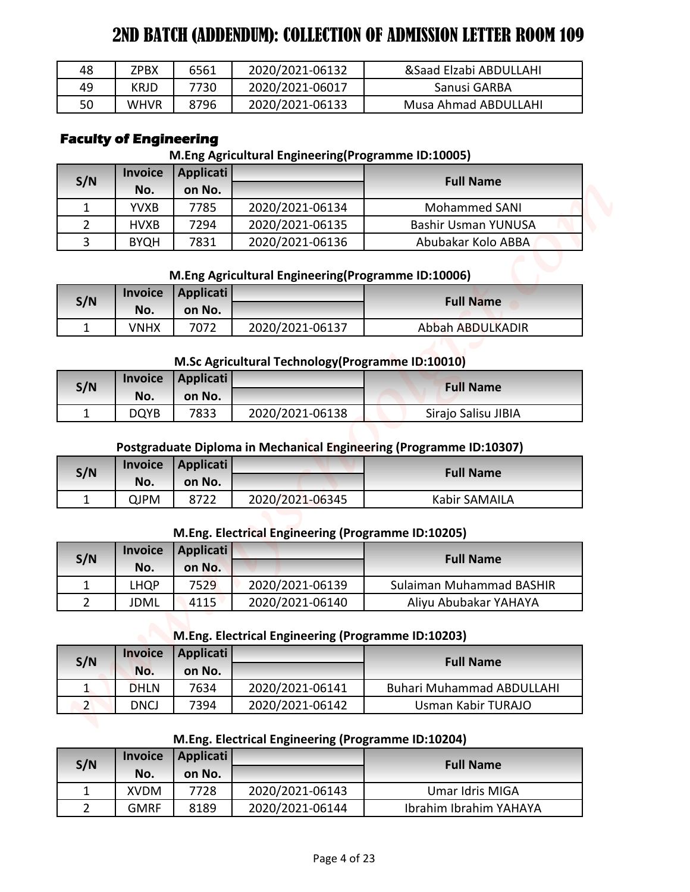| 48 | ZPBX        | 6561 | 2020/2021-06132 | &Saad Elzabi ABDULLAHI |
|----|-------------|------|-----------------|------------------------|
| 49 | <b>KRJD</b> | 7730 | 2020/2021-06017 | Sanusi GARBA           |
| 50 | <b>WHVR</b> | 8796 | 2020/2021-06133 | Musa Ahmad ABDULLAHI   |

# **Faculty of Engineering**

### **M.Eng Agricultural Engineering(Programme ID:10005)**

| 48               | <b>ZPBX</b>                   | 6561                       | 2020/2021-06132                                    | &Saad Elzabi ABDULLAHI                                                                  |
|------------------|-------------------------------|----------------------------|----------------------------------------------------|-----------------------------------------------------------------------------------------|
| 49               | <b>KRJD</b>                   | 7730                       | 2020/2021-06017                                    | Sanusi GARBA                                                                            |
| 50               | WHVR                          | 8796                       | 2020/2021-06133                                    | Musa Ahmad ABDULLAHI                                                                    |
|                  | <b>Faculty of Engineering</b> |                            | M.Eng Agricultural Engineering(Programme ID:10005) |                                                                                         |
|                  | <b>Invoice</b>                | <b>Applicati</b>           |                                                    |                                                                                         |
| S/N              | No.                           | on No.                     |                                                    | <b>Full Name</b>                                                                        |
| 1                | <b>YVXB</b>                   | 7785                       | 2020/2021-06134                                    | Mohammed SANI                                                                           |
| 2                | <b>HVXB</b>                   | 7294                       | 2020/2021-06135                                    | <b>Bashir Usman YUNUSA</b>                                                              |
| 3                | <b>BYQH</b>                   | 7831                       | 2020/2021-06136                                    | Abubakar Kolo ABBA                                                                      |
|                  | <b>Invoice</b>                | <b>Applicati</b>           | M.Eng Agricultural Engineering(Programme ID:10006) |                                                                                         |
| S/N              | No.                           | on No.                     |                                                    | <b>Full Name</b>                                                                        |
| $\mathbf{1}$     | <b>VNHX</b>                   | 7072                       | 2020/2021-06137                                    | Abbah ABDULKADIR                                                                        |
|                  | <b>Invoice</b>                | <b>Applicati</b>           | M.Sc Agricultural Technology (Programme ID:10010)  | <b>Full Name</b>                                                                        |
| S/N              | No.                           | on No.                     |                                                    |                                                                                         |
| $\mathbf{1}$     | <b>DQYB</b>                   | 7833                       | 2020/2021-06138                                    | Sirajo Salisu JIBIA                                                                     |
| S/N              | <b>Invoice</b><br>No.         | <b>Applicati</b><br>on No. |                                                    | Postgraduate Diploma in Mechanical Engineering (Programme ID:10307)<br><b>Full Name</b> |
| $\mathbf{1}$     | <b>QJPM</b>                   | 8722                       | 2020/2021-06345                                    | Kabir SAMAILA                                                                           |
|                  | <b>Invoice</b>                | <b>Applicati</b>           | M.Eng. Electrical Engineering (Programme ID:10205) |                                                                                         |
| S/N              | No.                           | on No.                     |                                                    | <b>Full Name</b>                                                                        |
| 1                | <b>LHQP</b>                   | 7529                       | 2020/2021-06139                                    | Sulaiman Muhammad BASHIR                                                                |
| $\overline{2}$   | <b>JDML</b>                   | 4115                       | 2020/2021-06140                                    | Aliyu Abubakar YAHAYA                                                                   |
|                  |                               |                            | M.Eng. Electrical Engineering (Programme ID:10203) |                                                                                         |
|                  |                               |                            |                                                    |                                                                                         |
| S/N              | <b>Invoice</b><br>No.         | <b>Applicati</b><br>on No. |                                                    | <b>Full Name</b>                                                                        |
| $\mathbf{1}$     | <b>DHLN</b>                   | 7634                       | 2020/2021-06141                                    | <b>Buhari Muhammad ABDULLAHI</b>                                                        |
| $2 \overline{ }$ | <b>DNCJ</b>                   | 7394                       | 2020/2021-06142                                    | Usman Kabir TURAJO                                                                      |
|                  |                               |                            | M.Eng. Electrical Engineering (Programme ID:10204) |                                                                                         |
| S/N              | <b>Invoice</b><br>No.         | <b>Applicati</b><br>on No. |                                                    | <b>Full Name</b>                                                                        |
| 1                | <b>XVDM</b>                   | 7728                       | 2020/2021-06143                                    | Umar Idris MIGA                                                                         |

# **M.Eng Agricultural Engineering(Programme ID:10006)**

| S/N |      | Invoice   Applicati |                 | <b>Full Name</b> |
|-----|------|---------------------|-----------------|------------------|
|     | No.  | on No.              |                 |                  |
|     | VNHX | 7072                | 2020/2021-06137 | Abbah ABDULKADIR |

#### **M.Sc Agricultural Technology(Programme ID:10010)**

| S/N |             | Invoice   Applicati |                 | <b>Full Name</b>    |
|-----|-------------|---------------------|-----------------|---------------------|
|     | No.         | on No.              |                 |                     |
|     | <b>DQYB</b> | 7833                | 2020/2021-06138 | Sirajo Salisu JIBIA |

# **Postgraduate Diploma in Mechanical Engineering (Programme ID:10307)**

| S/N      |      | Invoice Applicati |                 | <b>Full Name</b> |
|----------|------|-------------------|-----------------|------------------|
|          | No.  | on No.            |                 |                  |
| <b>+</b> | QJPM |                   | 2020/2021-06345 | Kabir SAMAILA    |

# **M.Eng. Electrical Engineering (Programme ID:10205)**

| S/N | <b>Invoice</b> | Applicati |                 | <b>Full Name</b>         |  |
|-----|----------------|-----------|-----------------|--------------------------|--|
|     | No.            | on No.    |                 |                          |  |
|     | LHQP           | 7529      | 2020/2021-06139 | Sulaiman Muhammad BASHIR |  |
|     | JDML           | 4115      | 2020/2021-06140 | Aliyu Abubakar YAHAYA    |  |

# **M.Eng. Electrical Engineering (Programme ID:10203)**

| S/N | <b>Invoice</b> | Applicati |                 | <b>Full Name</b>                 |  |
|-----|----------------|-----------|-----------------|----------------------------------|--|
|     | No.            | on No.    |                 |                                  |  |
|     | <b>DHLN</b>    | 7634      | 2020/2021-06141 | <b>Buhari Muhammad ABDULLAHI</b> |  |
|     | <b>DNCJ</b>    | 7394      | 2020/2021-06142 | Usman Kabir TURAJO               |  |

### **M.Eng. Electrical Engineering (Programme ID:10204)**

| S/N | <b>Invoice</b> | Applicati |                 | <b>Full Name</b>       |
|-----|----------------|-----------|-----------------|------------------------|
|     | No.            | on No.    |                 |                        |
|     | <b>XVDM</b>    | 7728      | 2020/2021-06143 | Umar Idris MIGA        |
|     | <b>GMRF</b>    | 8189      | 2020/2021-06144 | Ibrahim Ibrahim YAHAYA |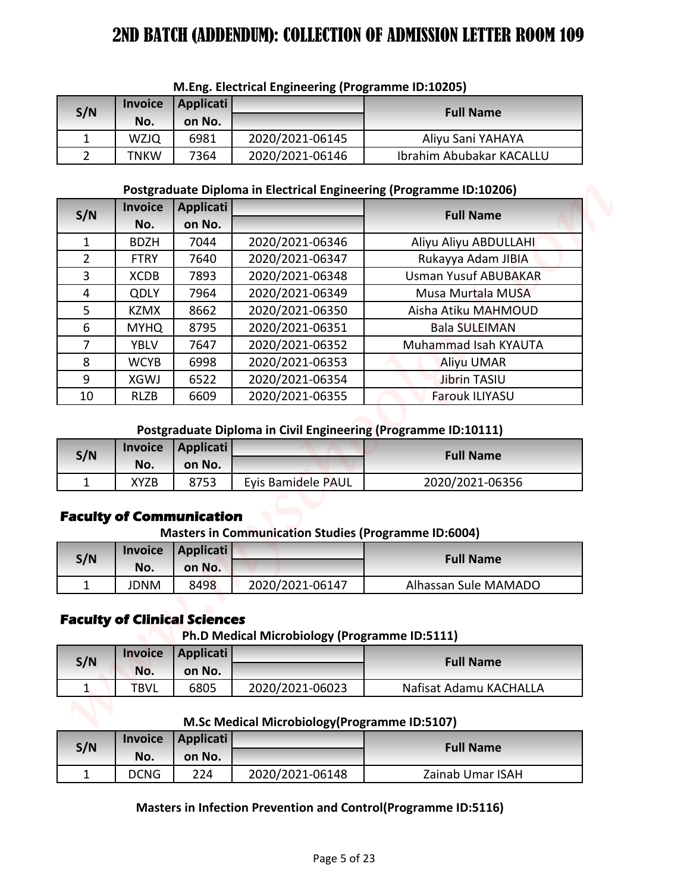| S/N | <b>Invoice</b> | Applicati |                 | <b>Full Name</b>         |  |  |
|-----|----------------|-----------|-----------------|--------------------------|--|--|
|     | No.            | on No.    |                 |                          |  |  |
|     | <b>WZJQ</b>    | 6981      | 2020/2021-06145 | Aliyu Sani YAHAYA        |  |  |
|     | TNKW           | 7364      | 2020/2021-06146 | Ibrahim Abubakar KACALLU |  |  |

## **M.Eng. Electrical Engineering (Programme ID:10205)**

#### **Postgraduate Diploma in Electrical Engineering (Programme ID:10206)**

| S/N<br>1<br>$\overline{2}$ | <b>Invoice</b><br>No. |                                     |                                                                | M.Eng. Electrical Engineering (Programme ID:10205)                  |
|----------------------------|-----------------------|-------------------------------------|----------------------------------------------------------------|---------------------------------------------------------------------|
|                            |                       | <b>Applicati</b>                    |                                                                | <b>Full Name</b>                                                    |
|                            |                       | on No.                              |                                                                |                                                                     |
|                            | <b>WZJQ</b>           | 6981                                | 2020/2021-06145                                                | Aliyu Sani YAHAYA                                                   |
|                            | <b>TNKW</b>           | 7364                                | 2020/2021-06146                                                | Ibrahim Abubakar KACALLU                                            |
|                            |                       |                                     |                                                                | Postgraduate Diploma in Electrical Engineering (Programme ID:10206) |
|                            | <b>Invoice</b>        | <b>Applicati</b>                    |                                                                |                                                                     |
| S/N                        | No.                   | on No.                              |                                                                | <b>Full Name</b>                                                    |
| $\mathbf{1}$               | <b>BDZH</b>           | 7044                                | 2020/2021-06346                                                | Aliyu Aliyu ABDULLAHI                                               |
| $\overline{2}$             | <b>FTRY</b>           | 7640                                | 2020/2021-06347                                                | Rukayya Adam JIBIA                                                  |
| 3                          | <b>XCDB</b>           | 7893                                | 2020/2021-06348                                                | <b>Usman Yusuf ABUBAKAR</b>                                         |
| 4                          | <b>QDLY</b>           | 7964                                | 2020/2021-06349                                                | Musa Murtala MUSA                                                   |
| 5                          | <b>KZMX</b>           | 8662                                | 2020/2021-06350                                                | Aisha Atiku MAHMOUD                                                 |
| 6                          | <b>MYHQ</b>           | 8795                                | 2020/2021-06351                                                | <b>Bala SULEIMAN</b>                                                |
| $\overline{7}$             | <b>YBLV</b>           | 7647                                | 2020/2021-06352                                                | Muhammad Isah KYAUTA                                                |
| 8                          | <b>WCYB</b>           | 6998                                | 2020/2021-06353                                                | <b>Aliyu UMAR</b>                                                   |
| 9                          | <b>XGWJ</b>           | 6522                                | 2020/2021-06354                                                | <b>Jibrin TASIU</b>                                                 |
| 10                         | <b>RLZB</b>           | 6609                                | 2020/2021-06355                                                | Farouk ILIYASU                                                      |
|                            |                       |                                     | Postgraduate Diploma in Civil Engineering (Programme ID:10111) |                                                                     |
| S/N                        | <b>Invoice</b>        | <b>Applicati</b>                    |                                                                | <b>Full Name</b>                                                    |
|                            | No.                   | on No.                              |                                                                |                                                                     |
| 1                          | <b>XYZB</b>           | 8753                                | Eyis Bamidele PAUL                                             | 2020/2021-06356                                                     |
|                            |                       | <b>Faculty of Communication</b>     |                                                                |                                                                     |
|                            |                       |                                     | <b>Masters in Communication Studies (Programme ID:6004)</b>    |                                                                     |
|                            |                       |                                     |                                                                |                                                                     |
| S/N                        | <b>Invoice</b>        | <b>Applicati</b>                    |                                                                | <b>Full Name</b>                                                    |
|                            | No.                   | on No.                              |                                                                |                                                                     |
| 1                          | <b>JDNM</b>           | 8498                                | 2020/2021-06147                                                | Alhassan Sule MAMADO                                                |
|                            |                       | <b>Faculty of Clinical Sciences</b> |                                                                |                                                                     |
|                            |                       |                                     | Ph.D Medical Microbiology (Programme ID:5111)                  |                                                                     |
|                            | <b>Invoice</b>        | <b>Applicati</b>                    |                                                                |                                                                     |
| S/N                        | No.                   | on No.                              |                                                                | <b>Full Name</b>                                                    |
| $\mathbf{1}$               | <b>TBVL</b>           | 6805                                | 2020/2021-06023                                                | Nafisat Adamu KACHALLA                                              |
|                            |                       |                                     |                                                                |                                                                     |
|                            |                       |                                     | M.Sc Medical Microbiology (Programme ID:5107)                  |                                                                     |
| S/N                        | <b>Invoice</b><br>No. | <b>Applicati</b><br>on No.          |                                                                | <b>Full Name</b>                                                    |

### **Postgraduate Diploma in Civil Engineering (Programme ID:10111)**

| S/N |      | Invoice   Applicati |                    | <b>Full Name</b> |
|-----|------|---------------------|--------------------|------------------|
|     | No.  | on No.              |                    |                  |
|     | XYZB | 8753                | Evis Bamidele PAUL | 2020/2021-06356  |

# **Faculty of Communication**

**Masters in Communication Studies (Programme ID:6004)**

| S/N |      | Invoice Applicati |                 | <b>Full Name</b>     |
|-----|------|-------------------|-----------------|----------------------|
|     | No.  | on No.            |                 |                      |
|     | JDNM | 8498              | 2020/2021-06147 | Alhassan Sule MAMADO |

# **Faculty of Clinical Sciences**

**Ph.D Medical Microbiology (Programme ID:5111)**

| S/N | <b>Invoice</b> | <b>Applicati</b> |                 | <b>Full Name</b>       |
|-----|----------------|------------------|-----------------|------------------------|
|     | No.            | on No.           |                 |                        |
|     | TBVL           | 6805             | 2020/2021-06023 | Nafisat Adamu KACHALLA |

**M.Sc Medical Microbiology(Programme ID:5107)**

| S/N |             | Invoice   Applicati |                 | <b>Full Name</b> |
|-----|-------------|---------------------|-----------------|------------------|
|     | No.         | on No.              |                 |                  |
| -   | <b>DCNG</b> | 224                 | 2020/2021-06148 | Zainab Umar ISAH |

## **Masters in Infection Prevention and Control(Programme ID:5116)**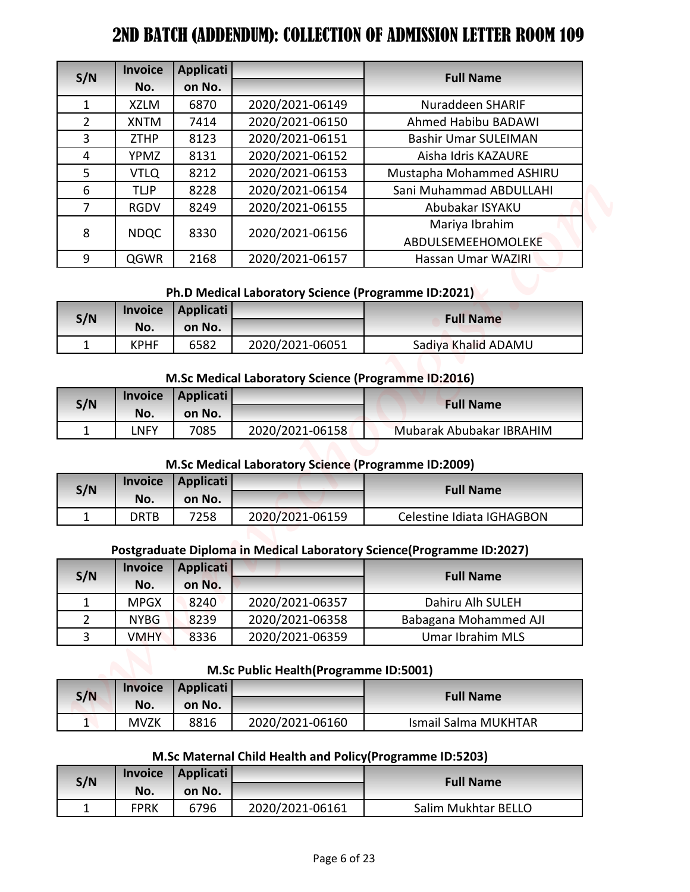|                | <b>Invoice</b>     | Applicati        |                                                           |                                                                       |
|----------------|--------------------|------------------|-----------------------------------------------------------|-----------------------------------------------------------------------|
| S/N            | No.                | on No.           |                                                           | <b>Full Name</b>                                                      |
| 1              | <b>XZLM</b>        | 6870             | 2020/2021-06149                                           | Nuraddeen SHARIF                                                      |
| $\overline{2}$ | <b>XNTM</b>        | 7414             | 2020/2021-06150                                           | Ahmed Habibu BADAWI                                                   |
| 3              | <b>ZTHP</b>        | 8123             | 2020/2021-06151                                           | <b>Bashir Umar SULEIMAN</b>                                           |
| 4              | YPMZ               | 8131             | 2020/2021-06152                                           | Aisha Idris KAZAURE                                                   |
| 5              | <b>VTLQ</b>        | 8212             | 2020/2021-06153                                           | Mustapha Mohammed ASHIRU                                              |
| 6              | <b>TLJP</b>        | 8228             | 2020/2021-06154                                           | Sani Muhammad ABDULLAHI                                               |
| $\overline{7}$ | <b>RGDV</b>        | 8249             | 2020/2021-06155                                           | Abubakar ISYAKU                                                       |
| 8              | <b>NDQC</b>        | 8330             | 2020/2021-06156                                           | Mariya Ibrahim<br>ABDULSEMEEHOMOLEKE                                  |
| 9              | QGWR               | 2168             | 2020/2021-06157                                           | Hassan Umar WAZIRI                                                    |
|                |                    |                  |                                                           |                                                                       |
|                |                    |                  | Ph.D Medical Laboratory Science (Programme ID:2021)       |                                                                       |
| S/N            | <b>Invoice</b>     | <b>Applicati</b> |                                                           | <b>Full Name</b>                                                      |
|                | No.                | on No.           |                                                           |                                                                       |
| $\mathbf{1}$   | <b>KPHF</b>        | 6582             | 2020/2021-06051                                           | Sadiya Khalid ADAMU                                                   |
|                |                    |                  |                                                           |                                                                       |
|                |                    |                  | M.Sc Medical Laboratory Science (Programme ID:2016)       |                                                                       |
| S/N            | <b>Invoice</b>     | <b>Applicati</b> |                                                           | <b>Full Name</b>                                                      |
| 1              | No.<br><b>LNFY</b> | on No.<br>7085   | 2020/2021-06158                                           | Mubarak Abubakar IBRAHIM                                              |
|                |                    |                  |                                                           |                                                                       |
|                |                    |                  | M.Sc Medical Laboratory Science (Programme ID:2009)       |                                                                       |
|                | <b>Invoice</b>     | <b>Applicati</b> |                                                           |                                                                       |
|                |                    | on No.           |                                                           | <b>Full Name</b>                                                      |
| S/N            |                    |                  |                                                           |                                                                       |
|                | No.                |                  |                                                           |                                                                       |
| $\mathbf{1}$   | <b>DRTB</b>        | 7258             | 2020/2021-06159                                           | Celestine Idiata IGHAGBON                                             |
|                |                    |                  |                                                           | Postgraduate Diploma in Medical Laboratory Science(Programme ID:2027) |
|                | <b>Invoice</b>     | <b>Applicati</b> |                                                           |                                                                       |
| S/N            | No.                | on No.           |                                                           | <b>Full Name</b>                                                      |
| $\mathbf{1}$   | <b>MPGX</b>        | 8240             | 2020/2021-06357                                           | Dahiru Alh SULEH                                                      |
| $\overline{2}$ | <b>NYBG</b>        | 8239             | 2020/2021-06358                                           | Babagana Mohammed AJI                                                 |
| 3              | <b>VMHY</b>        | 8336             | 2020/2021-06359                                           | <b>Umar Ibrahim MLS</b>                                               |
|                |                    |                  |                                                           |                                                                       |
|                |                    |                  | M.Sc Public Health (Programme ID:5001)                    |                                                                       |
|                | <b>Invoice</b>     | <b>Applicati</b> |                                                           |                                                                       |
| S/N            | No.                | on No.           |                                                           | <b>Full Name</b>                                                      |
| 1              | <b>MVZK</b>        | 8816             | 2020/2021-06160                                           | <b>Ismail Salma MUKHTAR</b>                                           |
|                |                    |                  |                                                           |                                                                       |
|                |                    |                  | M.Sc Maternal Child Health and Policy (Programme ID:5203) |                                                                       |
|                | <b>Invoice</b>     | <b>Applicati</b> |                                                           |                                                                       |
| S/N            | No.                | on No.           |                                                           | <b>Full Name</b>                                                      |

# **Ph.D Medical Laboratory Science (Programme ID:2021)**

| S/N |             | Invoice   Applicati |                 | <b>Full Name</b>    |
|-----|-------------|---------------------|-----------------|---------------------|
|     | No.         | on No.              |                 |                     |
| ۰   | <b>KPHF</b> | 6582                | 2020/2021-06051 | Sadiya Khalid ADAMU |

### **M.Sc Medical Laboratory Science (Programme ID:2016)**

| S/N |      | Invoice   Applicati |                 | <b>Full Name</b>         |
|-----|------|---------------------|-----------------|--------------------------|
|     | No.  | on No.              |                 |                          |
|     | ∟NFY | 7085                | 2020/2021-06158 | Mubarak Abubakar IBRAHIM |

## **M.Sc Medical Laboratory Science (Programme ID:2009)**

| S/N |      | Invoice   Applicati |                 | <b>Full Name</b>          |
|-----|------|---------------------|-----------------|---------------------------|
|     | No.  | on No.              |                 |                           |
|     | DRTB | 7258                | 2020/2021-06159 | Celestine Idiata IGHAGBON |

## **Postgraduate Diploma in Medical Laboratory Science(Programme ID:2027)**

| S/N           | <b>Invoice</b> | Applicati |                 | <b>Full Name</b>      |
|---------------|----------------|-----------|-----------------|-----------------------|
|               | No.            | on No.    |                 |                       |
|               | <b>MPGX</b>    | 8240      | 2020/2021-06357 | Dahiru Alh SULEH      |
| $\mathcal{P}$ | <b>NYBG</b>    | 8239      | 2020/2021-06358 | Babagana Mohammed AJI |
| 3             | VMHY           | 8336      | 2020/2021-06359 | Umar Ibrahim MLS      |

### **M.Sc Public Health(Programme ID:5001)**

| S/N |      | Invoice   Applicati |                 | <b>Full Name</b>     |  |
|-----|------|---------------------|-----------------|----------------------|--|
|     | No.  | on No.              |                 |                      |  |
| ۰   | MVZK | 8816                | 2020/2021-06160 | Ismail Salma MUKHTAR |  |

# **M.Sc Maternal Child Health and Policy(Programme ID:5203)**

| S/N | <b>Invoice</b> | Applicati |                 | <b>Full Name</b>    |
|-----|----------------|-----------|-----------------|---------------------|
|     | No.            | on No.    |                 |                     |
|     | <b>FPRK</b>    | 6796      | 2020/2021-06161 | Salim Mukhtar BELLO |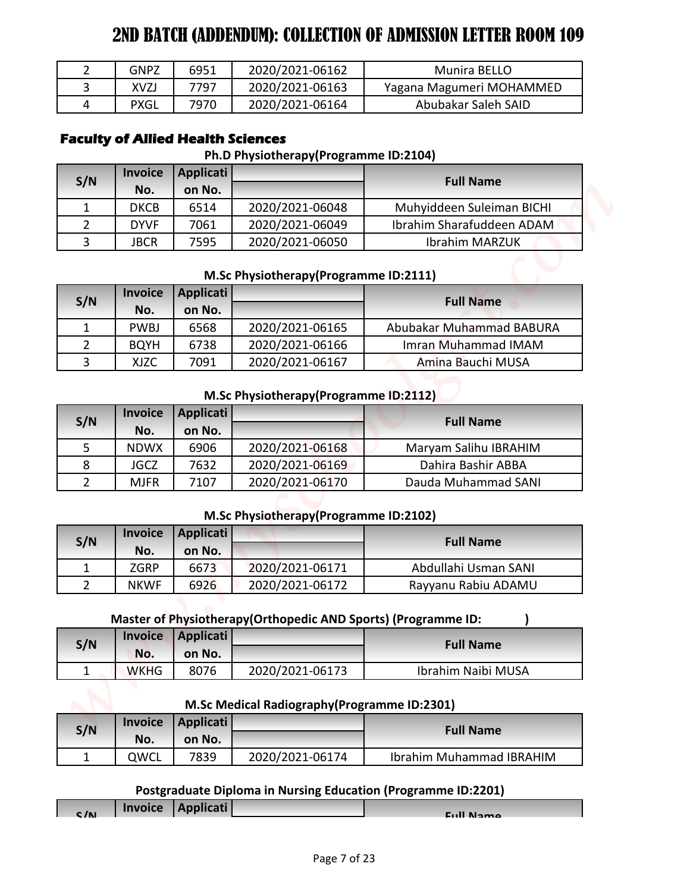| <b>GNPZ</b> | 6951 | 2020/2021-06162 | Munira BELLO             |
|-------------|------|-----------------|--------------------------|
| XVZJ        | 7797 | 2020/2021-06163 | Yagana Magumeri MOHAMMED |
| PXGL        | 7970 | 2020/2021-06164 | Abubakar Saleh SAID      |

# **Faculty of Allied Health Sciences**

### **Ph.D Physiotherapy(Programme ID:2104)**

| S/N          | <b>Invoice</b> | Applicati |                 | <b>Full Name</b>          |
|--------------|----------------|-----------|-----------------|---------------------------|
|              | No.            | on No.    |                 |                           |
| $\mathbf{1}$ | <b>DKCB</b>    | 6514      | 2020/2021-06048 | Muhyiddeen Suleiman BICHI |
|              | <b>DYVF</b>    | 7061      | 2020/2021-06049 | Ibrahim Sharafuddeen ADAM |
| 3            | JBCR           | 7595      | 2020/2021-06050 | <b>Ibrahim MARZUK</b>     |

## **M.Sc Physiotherapy(Programme ID:2111)**

| S/N | <b>Invoice</b> | Applicati |                 | <b>Full Name</b>         |  |
|-----|----------------|-----------|-----------------|--------------------------|--|
|     | No.            | on No.    |                 |                          |  |
|     | <b>PWBJ</b>    | 6568      | 2020/2021-06165 | Abubakar Muhammad BABURA |  |
|     | <b>BOYH</b>    | 6738      | 2020/2021-06166 | Imran Muhammad IMAM      |  |
|     | XJZC           | 7091      | 2020/2021-06167 | Amina Bauchi MUSA        |  |

### **M.Sc Physiotherapy(Programme ID:2112)**

| $\overline{2}$ | <b>GNPZ</b>    | 6951                                     | 2020/2021-06162                                               | Munira BELLO                                                  |
|----------------|----------------|------------------------------------------|---------------------------------------------------------------|---------------------------------------------------------------|
| 3              | <b>XVZJ</b>    | 7797                                     | 2020/2021-06163                                               | Yagana Magumeri MOHAMMED                                      |
| 4              | <b>PXGL</b>    | 7970                                     | 2020/2021-06164                                               | Abubakar Saleh SAID                                           |
|                |                | <b>Faculty of Allied Health Sciences</b> | Ph.D Physiotherapy(Programme ID:2104)                         |                                                               |
|                | <b>Invoice</b> | <b>Applicati</b>                         |                                                               |                                                               |
| S/N            | No.            | on No.                                   |                                                               | <b>Full Name</b>                                              |
| 1              | <b>DKCB</b>    | 6514                                     | 2020/2021-06048                                               | Muhyiddeen Suleiman BICHI                                     |
| 2              | <b>DYVF</b>    | 7061                                     | 2020/2021-06049                                               | Ibrahim Sharafuddeen ADAM                                     |
| 3              | <b>JBCR</b>    | 7595                                     | 2020/2021-06050                                               | <b>Ibrahim MARZUK</b>                                         |
|                |                |                                          |                                                               |                                                               |
|                | <b>Invoice</b> | <b>Applicati</b>                         | M.Sc Physiotherapy(Programme ID:2111)                         |                                                               |
| S/N            | No.            | on No.                                   |                                                               | <b>Full Name</b>                                              |
| 1              | <b>PWBJ</b>    | 6568                                     | 2020/2021-06165                                               | Abubakar Muhammad BABURA                                      |
| $\overline{2}$ | <b>BQYH</b>    | 6738                                     | 2020/2021-06166                                               | Imran Muhammad IMAM                                           |
| 3              | <b>XJZC</b>    | 7091                                     | 2020/2021-06167                                               | Amina Bauchi MUSA                                             |
|                |                |                                          |                                                               |                                                               |
|                |                |                                          | M.Sc Physiotherapy(Programme ID:2112)                         |                                                               |
| S/N            | <b>Invoice</b> | <b>Applicati</b>                         |                                                               | <b>Full Name</b>                                              |
|                | No.            | on No.                                   |                                                               |                                                               |
| 5              | <b>NDWX</b>    | 6906                                     | 2020/2021-06168                                               | Maryam Salihu IBRAHIM                                         |
| 8              | <b>JGCZ</b>    | 7632                                     | 2020/2021-06169                                               | Dahira Bashir ABBA                                            |
| $\overline{2}$ | <b>MJFR</b>    | 7107                                     | 2020/2021-06170                                               | Dauda Muhammad SANI                                           |
|                |                |                                          | M.Sc Physiotherapy(Programme ID:2102)                         |                                                               |
|                | <b>Invoice</b> | <b>Applicati</b>                         |                                                               |                                                               |
| S/N            | No.            | on No.                                   |                                                               | <b>Full Name</b>                                              |
| $\mathbf 1$    | <b>ZGRP</b>    | 6673                                     | 2020/2021-06171                                               | Abdullahi Usman SANI                                          |
| $\overline{2}$ | <b>NKWF</b>    | 6926                                     | 2020/2021-06172                                               | Rayyanu Rabiu ADAMU                                           |
|                |                |                                          |                                                               |                                                               |
|                |                |                                          | Master of Physiotherapy(Orthopedic AND Sports) (Programme ID: |                                                               |
|                | <b>Invoice</b> | <b>Applicati</b>                         |                                                               | <b>Full Name</b>                                              |
|                | No.            | on No.                                   |                                                               |                                                               |
| S/N            |                | 8076                                     | 2020/2021-06173                                               | Ibrahim Naibi MUSA                                            |
| 1              | <b>WKHG</b>    |                                          |                                                               |                                                               |
|                |                |                                          |                                                               |                                                               |
|                |                |                                          | M.Sc Medical Radiography(Programme ID:2301)                   |                                                               |
| S/N            | <b>Invoice</b> | <b>Applicati</b>                         |                                                               | <b>Full Name</b>                                              |
| $\mathbf{1}$   | No.<br>QWCL    | on No.<br>7839                           | 2020/2021-06174                                               | Ibrahim Muhammad IBRAHIM                                      |
|                |                |                                          |                                                               |                                                               |
|                | <b>Invoice</b> | <b>Applicati</b>                         |                                                               | Postgraduate Diploma in Nursing Education (Programme ID:2201) |

## **M.Sc Physiotherapy(Programme ID:2102)**

| S/N |             | Invoice Applicati |                 | <b>Full Name</b>     |
|-----|-------------|-------------------|-----------------|----------------------|
|     | No.         | on No.            |                 |                      |
|     | ZGRP        | 6673              | 2020/2021-06171 | Abdullahi Usman SANI |
|     | <b>NKWF</b> | 6926              | 2020/2021-06172 | Rayyanu Rabiu ADAMU  |

## **Master of Physiotherapy(Orthopedic AND Sports) (Programme ID: )**

| S/N |             | Invoice Applicati |                 | <b>Full Name</b>   |
|-----|-------------|-------------------|-----------------|--------------------|
|     | No.         | on No.            |                 |                    |
| -   | <b>WKHG</b> | 8076              | 2020/2021-06173 | Ibrahim Naibi MUSA |

## **M.Sc Medical Radiography(Programme ID:2301)**

| S/N | <b>Invoice</b> | Applicati |                 | <b>Full Name</b>                |
|-----|----------------|-----------|-----------------|---------------------------------|
|     | No.            | on No.    |                 |                                 |
|     | <b>QWCL</b>    | 7839      | 2020/2021-06174 | <b>Ibrahim Muhammad IBRAHIM</b> |

## **Postgraduate Diploma in Nursing Education (Programme ID:2201)**

| C/N | Invoice   Applicati | <b>Eull Name</b> |
|-----|---------------------|------------------|
|     |                     |                  |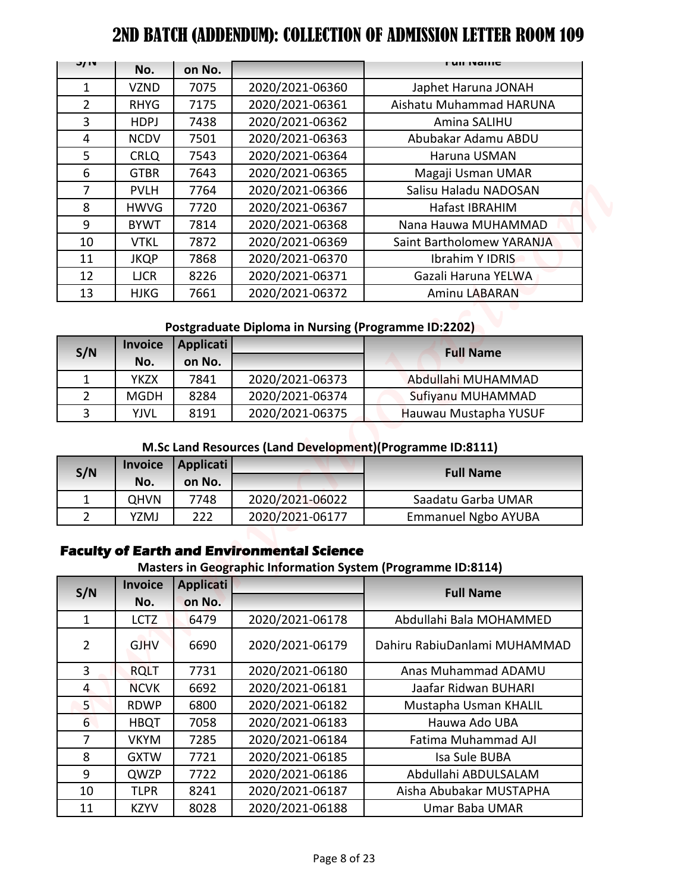|                                | 2ND BATCH (ADDENDUM): COLLECTION OF ADMISSION LETTER ROOM 109 |                  |                                                     |                                                                                |
|--------------------------------|---------------------------------------------------------------|------------------|-----------------------------------------------------|--------------------------------------------------------------------------------|
| J/ IV                          | No.                                                           | on No.           |                                                     | гин танг                                                                       |
| $\mathbf{1}$                   | <b>VZND</b>                                                   | 7075             | 2020/2021-06360                                     | Japhet Haruna JONAH                                                            |
| $\overline{2}$                 | <b>RHYG</b>                                                   | 7175             | 2020/2021-06361                                     | Aishatu Muhammad HARUNA                                                        |
| 3                              | <b>HDPJ</b>                                                   | 7438             | 2020/2021-06362                                     | Amina SALIHU                                                                   |
| 4                              | <b>NCDV</b>                                                   | 7501             | 2020/2021-06363                                     | Abubakar Adamu ABDU                                                            |
| 5                              | <b>CRLQ</b>                                                   | 7543             | 2020/2021-06364                                     | Haruna USMAN                                                                   |
| 6                              | <b>GTBR</b>                                                   | 7643             | 2020/2021-06365                                     | Magaji Usman UMAR                                                              |
| 7                              | <b>PVLH</b>                                                   | 7764             | 2020/2021-06366                                     | Salisu Haladu NADOSAN                                                          |
| 8                              | <b>HWVG</b>                                                   | 7720             | 2020/2021-06367                                     | Hafast IBRAHIM                                                                 |
| 9                              | <b>BYWT</b>                                                   | 7814             | 2020/2021-06368                                     | Nana Hauwa MUHAMMAD                                                            |
| 10                             | <b>VTKL</b>                                                   | 7872             | 2020/2021-06369                                     | Saint Bartholomew YARANJA                                                      |
| 11                             | <b>JKQP</b>                                                   | 7868             | 2020/2021-06370                                     | Ibrahim Y IDRIS                                                                |
| 12                             | <b>LJCR</b>                                                   | 8226             | 2020/2021-06371                                     | Gazali Haruna YELWA                                                            |
| 13                             | <b>HJKG</b>                                                   | 7661             | 2020/2021-06372                                     | Aminu LABARAN                                                                  |
|                                | <b>Invoice</b>                                                | <b>Applicati</b> | Postgraduate Diploma in Nursing (Programme ID:2202) |                                                                                |
| S/N                            | No.                                                           | on No.           |                                                     | <b>Full Name</b>                                                               |
| $\mathbf{1}$                   | <b>YKZX</b>                                                   | 7841             | 2020/2021-06373                                     | Abdullahi MUHAMMAD                                                             |
| $\overline{2}$                 | <b>MGDH</b>                                                   | 8284             | 2020/2021-06374                                     | Sufiyanu MUHAMMAD                                                              |
| $\overline{3}$                 | <b>YJVL</b>                                                   | 8191             | 2020/2021-06375                                     | Hauwau Mustapha YUSUF                                                          |
|                                |                                                               |                  |                                                     |                                                                                |
| S/N                            | <b>Invoice</b>                                                | Applicati        |                                                     | M.Sc Land Resources (Land Development) (Programme ID:8111)<br><b>Full Name</b> |
|                                | No.                                                           | on No.           |                                                     |                                                                                |
| $\mathbf{1}$<br>$\overline{2}$ | <b>QHVN</b><br>YZMJ                                           | 7748<br>222      | 2020/2021-06022<br>2020/2021-06177                  | Saadatu Garba UMAR<br><b>Emmanuel Ngbo AYUBA</b>                               |
|                                | <b>Invoice</b>                                                | <b>Applicati</b> | <b>Faculty of Earth and Environmental Science</b>   | Masters in Geographic Information System (Programme ID:8114)                   |
| S/N                            | No.                                                           | on No.           |                                                     | <b>Full Name</b>                                                               |
| 1                              | <b>LCTZ</b>                                                   | 6479             | 2020/2021-06178                                     | Abdullahi Bala MOHAMMED                                                        |
| $\overline{2}$                 | <b>GJHV</b>                                                   | 6690             | 2020/2021-06179                                     | Dahiru RabiuDanlami MUHAMMAD                                                   |
| 3                              | <b>RQLT</b>                                                   | 7731             | 2020/2021-06180                                     | Anas Muhammad ADAMU                                                            |
| $\overline{4}$                 | <b>NCVK</b>                                                   | 6692             | 2020/2021-06181                                     | Jaafar Ridwan BUHARI                                                           |
| 5                              | <b>RDWP</b>                                                   | 6800             | 2020/2021-06182                                     | Mustapha Usman KHALIL                                                          |
| $6\overline{6}$                | <b>HBQT</b>                                                   | 7058             | 2020/2021-06183                                     | Hauwa Ado UBA                                                                  |
| $\overline{7}$                 | <b>VKYM</b>                                                   | 7285             | 2020/2021-06184                                     | Fatima Muhammad AJI                                                            |
| 8                              | <b>GXTW</b>                                                   | 7721             | 2020/2021-06185                                     | Isa Sule BUBA                                                                  |
| 9                              | QWZP                                                          | 7722             | 2020/2021-06186                                     | Abdullahi ABDULSALAM                                                           |
| 10                             | <b>TLPR</b>                                                   | 8241             | 2020/2021-06187                                     | Aisha Abubakar MUSTAPHA                                                        |

# **Postgraduate Diploma in Nursing (Programme ID:2202)**

| S/N           | <b>Invoice</b> | Applicati |                 | <b>Full Name</b>      |
|---------------|----------------|-----------|-----------------|-----------------------|
|               | No.            | on No.    |                 |                       |
|               | <b>YKZX</b>    | 7841      | 2020/2021-06373 | Abdullahi MUHAMMAD    |
| $\mathcal{P}$ | <b>MGDH</b>    | 8284      | 2020/2021-06374 | Sufiyanu MUHAMMAD     |
| ર             | YJVL           | 8191      | 2020/2021-06375 | Hauwau Mustapha YUSUF |

## **M.Sc Land Resources (Land Development)(Programme ID:8111)**

| S/N | No.         | Invoice   Applicati  <br>on No. |                 | <b>Full Name</b>           |
|-----|-------------|---------------------------------|-----------------|----------------------------|
|     | <b>QHVN</b> | 7748                            | 2020/2021-06022 | Saadatu Garba UMAR         |
|     | YZMJ        | 222                             | 2020/2021-06177 | <b>Emmanuel Ngbo AYUBA</b> |

## **Faculty of Earth and Environmental Science**

## **Masters in Geographic Information System (Programme ID:8114)**

| S/N          | <b>Invoice</b> | Applicati |                 | <b>Full Name</b>             |
|--------------|----------------|-----------|-----------------|------------------------------|
|              | No.            | on No.    |                 |                              |
| $\mathbf{1}$ | <b>LCTZ</b>    | 6479      | 2020/2021-06178 | Abdullahi Bala MOHAMMED      |
| 2            | <b>GJHV</b>    | 6690      | 2020/2021-06179 | Dahiru RabiuDanlami MUHAMMAD |
| 3            | <b>RQLT</b>    | 7731      | 2020/2021-06180 | Anas Muhammad ADAMU          |
| 4            | <b>NCVK</b>    | 6692      | 2020/2021-06181 | Jaafar Ridwan BUHARI         |
| $5^{\circ}$  | <b>RDWP</b>    | 6800      | 2020/2021-06182 | Mustapha Usman KHALIL        |
| 6            | <b>HBQT</b>    | 7058      | 2020/2021-06183 | Hauwa Ado UBA                |
| 7            | <b>VKYM</b>    | 7285      | 2020/2021-06184 | Fatima Muhammad AJI          |
| 8            | <b>GXTW</b>    | 7721      | 2020/2021-06185 | Isa Sule BUBA                |
| 9            | QWZP           | 7722      | 2020/2021-06186 | Abdullahi ABDULSALAM         |
| 10           | <b>TLPR</b>    | 8241      | 2020/2021-06187 | Aisha Abubakar MUSTAPHA      |
| 11           | <b>KZYV</b>    | 8028      | 2020/2021-06188 | Umar Baba UMAR               |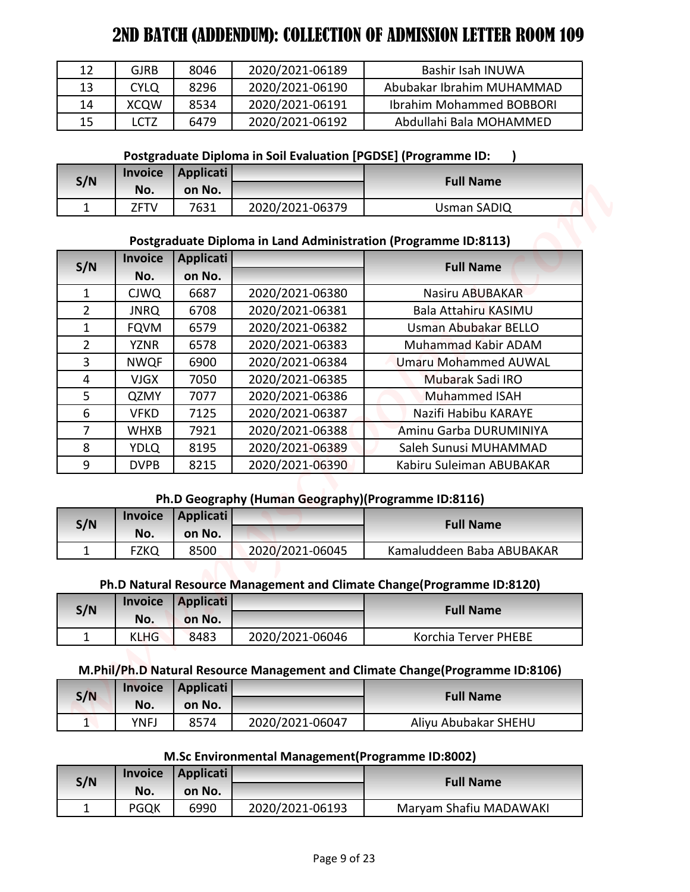| 12 | GJRB        | 8046 | 2020/2021-06189 | Bashir Isah INUWA               |
|----|-------------|------|-----------------|---------------------------------|
| 13 | <b>CYLO</b> | 8296 | 2020/2021-06190 | Abubakar Ibrahim MUHAMMAD       |
| 14 | <b>XCOW</b> | 8534 | 2020/2021-06191 | <b>Ibrahim Mohammed BOBBORI</b> |
| 15 | <b>CTZ</b>  | 6479 | 2020/2021-06192 | Abdullahi Bala MOHAMMED         |

**Postgraduate Diploma in Soil Evaluation [PGDSE] (Programme ID: )**

| S/N |       | Invoice   Applicati |                 | <b>Full Name</b> |
|-----|-------|---------------------|-----------------|------------------|
|     | No.   | on No.              |                 |                  |
| ۰   | 7.FTV | 7631                | 2020/2021-06379 | Usman SADIQ      |

# **Postgraduate Diploma in Land Administration (Programme ID:8113)**

|                |                       |                            |                                                                | 2ND BATCH (ADDENDUM): COLLECTION OF ADMISSION LETTER ROOM 109                 |
|----------------|-----------------------|----------------------------|----------------------------------------------------------------|-------------------------------------------------------------------------------|
| 12             | <b>GJRB</b>           | 8046                       | 2020/2021-06189                                                | Bashir Isah INUWA                                                             |
| 13             | <b>CYLQ</b>           | 8296                       | 2020/2021-06190                                                | Abubakar Ibrahim MUHAMMAD                                                     |
| 14             | <b>XCQW</b>           | 8534                       | 2020/2021-06191                                                | <b>Ibrahim Mohammed BOBBORI</b>                                               |
| 15             | <b>LCTZ</b>           | 6479                       | 2020/2021-06192                                                | Abdullahi Bala MOHAMMED                                                       |
|                |                       |                            |                                                                |                                                                               |
|                |                       |                            | Postgraduate Diploma in Soil Evaluation [PGDSE] (Programme ID: |                                                                               |
| S/N            | <b>Invoice</b>        | <b>Applicati</b>           |                                                                | <b>Full Name</b>                                                              |
| $\mathbf{1}$   | No.<br>ZFTV           | on No.<br>7631             | 2020/2021-06379                                                | <b>Usman SADIQ</b>                                                            |
|                |                       |                            |                                                                |                                                                               |
|                |                       |                            |                                                                | Postgraduate Diploma in Land Administration (Programme ID:8113)               |
| S/N            | <b>Invoice</b><br>No. | <b>Applicati</b><br>on No. |                                                                | <b>Full Name</b>                                                              |
| $\mathbf{1}$   | <b>CJWQ</b>           | 6687                       | 2020/2021-06380                                                | Nasiru ABUBAKAR                                                               |
| $\overline{2}$ | <b>JNRQ</b>           | 6708                       | 2020/2021-06381                                                | <b>Bala Attahiru KASIMU</b>                                                   |
| $\mathbf{1}$   | <b>FQVM</b>           | 6579                       | 2020/2021-06382                                                | <b>Usman Abubakar BELLO</b>                                                   |
| $\overline{2}$ | <b>YZNR</b>           | 6578                       | 2020/2021-06383                                                | Muhammad Kabir ADAM                                                           |
| 3              | <b>NWQF</b>           | 6900                       | 2020/2021-06384                                                | <b>Umaru Mohammed AUWAL</b>                                                   |
| 4              | <b>VJGX</b>           | 7050                       | 2020/2021-06385                                                | Mubarak Sadi IRO                                                              |
| 5              | QZMY                  | 7077                       | 2020/2021-06386                                                | <b>Muhammed ISAH</b>                                                          |
| 6              | <b>VFKD</b>           | 7125                       | 2020/2021-06387                                                | Nazifi Habibu KARAYE                                                          |
| $\overline{7}$ | <b>WHXB</b>           | 7921                       | 2020/2021-06388                                                | Aminu Garba DURUMINIYA                                                        |
| 8              | <b>YDLQ</b>           | 8195                       | 2020/2021-06389                                                | Saleh Sunusi MUHAMMAD                                                         |
| 9              | <b>DVPB</b>           | 8215                       | 2020/2021-06390                                                | Kabiru Suleiman ABUBAKAR                                                      |
|                |                       |                            |                                                                |                                                                               |
|                | <b>Invoice</b>        | <b>Applicati</b>           | Ph.D Geography (Human Geography)(Programme ID:8116)            |                                                                               |
| S/N            | No.                   | on No.                     |                                                                | <b>Full Name</b>                                                              |
| $\mathbf 1$    | <b>FZKQ</b>           | 8500                       | 2020/2021-06045                                                | Kamaluddeen Baba ABUBAKAR                                                     |
|                |                       |                            |                                                                |                                                                               |
|                |                       |                            |                                                                | Ph.D Natural Resource Management and Climate Change(Programme ID:8120)        |
| S/N            | <b>Invoice</b>        | <b>Applicati</b>           |                                                                | <b>Full Name</b>                                                              |
|                | No.                   | on No.                     |                                                                |                                                                               |
| $\mathbf{1}$   | <b>KLHG</b>           | 8483                       | 2020/2021-06046                                                | Korchia Terver PHEBE                                                          |
|                |                       |                            |                                                                | M.Phil/Ph.D Natural Resource Management and Climate Change(Programme ID:8106) |
|                | <b>Invoice</b>        | <b>Applicati</b>           |                                                                |                                                                               |
| S/N            | No.                   | on No.                     |                                                                | <b>Full Name</b>                                                              |
| 1              | <b>YNFJ</b>           | 8574                       | 2020/2021-06047                                                | Aliyu Abubakar SHEHU                                                          |
|                |                       |                            |                                                                |                                                                               |
|                | <b>Invoice</b>        |                            | M.Sc Environmental Management (Programme ID:8002)              |                                                                               |
| S/N            |                       | <b>Applicati</b>           |                                                                | <b>Full Name</b>                                                              |
|                | No.                   | on No.                     |                                                                |                                                                               |

# **Ph.D Geography (Human Geography)(Programme ID:8116)**

| S/N | <b>Invoice</b> | Applicati |                 | <b>Full Name</b>          |
|-----|----------------|-----------|-----------------|---------------------------|
|     | No.            | on No.    |                 |                           |
|     |                | 8500      | 2020/2021-06045 | Kamaluddeen Baba ABUBAKAR |

## **Ph.D Natural Resource Management and Climate Change(Programme ID:8120)**

| S/N |             | Invoice Applicati |                 | <b>Full Name</b>     |
|-----|-------------|-------------------|-----------------|----------------------|
|     | No.         | on No.            |                 |                      |
| -   | <b>KLHG</b> | 8483              | 2020/2021-06046 | Korchia Terver PHEBE |

## **M.Phil/Ph.D Natural Resource Management and Climate Change(Programme ID:8106)**

| S/N | <b>Invoice</b> | Applicati |                 | <b>Full Name</b>     |  |
|-----|----------------|-----------|-----------------|----------------------|--|
|     | No.            | on No.    |                 |                      |  |
| -   | YNFJ           | 8574      | 2020/2021-06047 | Aliyu Abubakar SHEHU |  |

# **M.Sc Environmental Management(Programme ID:8002)**

| S/N |             | Invoice   Applicati |                 | <b>Full Name</b>       |
|-----|-------------|---------------------|-----------------|------------------------|
|     | No.         | on No.              |                 |                        |
|     | <b>PGQK</b> | 6990                | 2020/2021-06193 | Maryam Shafiu MADAWAKI |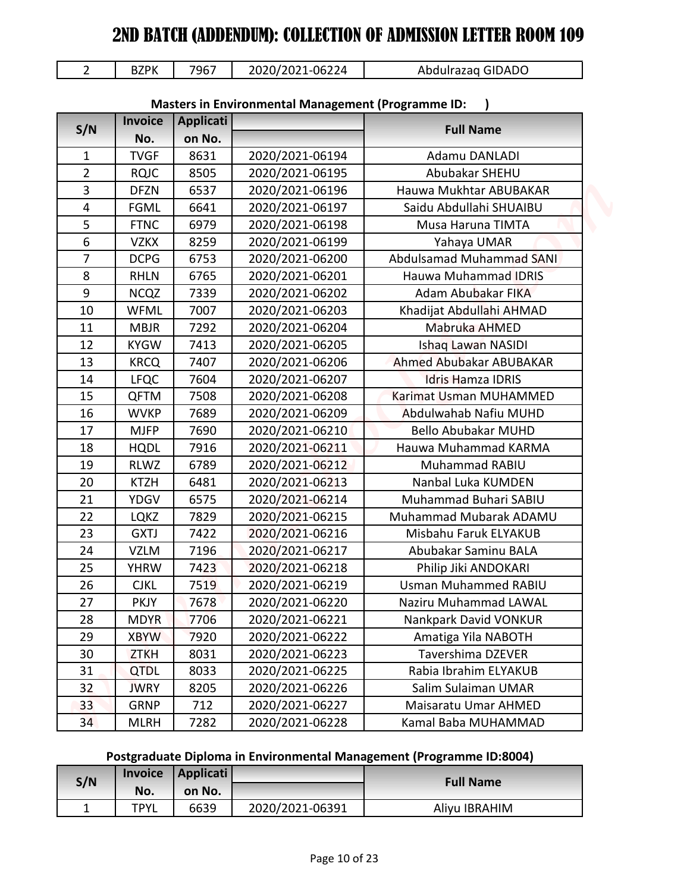|  | 2020/2021-06224<br>7967<br>Abdulrazag GIDADO<br>BZPK |
|--|------------------------------------------------------|
|--|------------------------------------------------------|

|                     | <b>BZPK</b>                | 7967             | 2020/2021-06224                                           | Abdulrazaq GIDADO                                                    |
|---------------------|----------------------------|------------------|-----------------------------------------------------------|----------------------------------------------------------------------|
| $\overline{2}$      |                            |                  |                                                           |                                                                      |
|                     |                            |                  | <b>Masters in Environmental Management (Programme ID:</b> |                                                                      |
| S/N                 | <b>Invoice</b>             | Applicati        |                                                           | <b>Full Name</b>                                                     |
|                     | No.                        | on No.           |                                                           |                                                                      |
| $\mathbf{1}$        | <b>TVGF</b>                | 8631             | 2020/2021-06194                                           | Adamu DANLADI                                                        |
| $\overline{2}$<br>3 | <b>RQJC</b>                | 8505             | 2020/2021-06195                                           | Abubakar SHEHU<br>Hauwa Mukhtar ABUBAKAR                             |
| $\overline{4}$      | <b>DFZN</b>                | 6537             | 2020/2021-06196                                           | Saidu Abdullahi SHUAIBU                                              |
| 5                   | <b>FGML</b><br><b>FTNC</b> | 6641<br>6979     | 2020/2021-06197<br>2020/2021-06198                        | Musa Haruna TIMTA                                                    |
| 6                   | <b>VZKX</b>                | 8259             | 2020/2021-06199                                           | Yahaya UMAR                                                          |
| 7                   | <b>DCPG</b>                | 6753             | 2020/2021-06200                                           | <b>Abdulsamad Muhammad SANI</b>                                      |
| 8                   | <b>RHLN</b>                | 6765             | 2020/2021-06201                                           | <b>Hauwa Muhammad IDRIS</b>                                          |
| 9                   | <b>NCQZ</b>                | 7339             | 2020/2021-06202                                           | Adam Abubakar FIKA                                                   |
| 10                  | <b>WFML</b>                | 7007             | 2020/2021-06203                                           | Khadijat Abdullahi AHMAD                                             |
| 11                  | <b>MBJR</b>                | 7292             | 2020/2021-06204                                           | Mabruka AHMED                                                        |
| 12                  | <b>KYGW</b>                | 7413             | 2020/2021-06205                                           | Ishaq Lawan NASIDI                                                   |
| 13                  | <b>KRCQ</b>                | 7407             | 2020/2021-06206                                           | Ahmed Abubakar ABUBAKAR                                              |
| 14                  | <b>LFQC</b>                | 7604             | 2020/2021-06207                                           | <b>Idris Hamza IDRIS</b>                                             |
| 15                  | <b>QFTM</b>                | 7508             | 2020/2021-06208                                           | Karimat Usman MUHAMMED                                               |
| 16                  | <b>WVKP</b>                | 7689             | 2020/2021-06209                                           | Abdulwahab Nafiu MUHD                                                |
| 17                  | <b>MJFP</b>                | 7690             | 2020/2021-06210                                           | <b>Bello Abubakar MUHD</b>                                           |
| 18                  | <b>HQDL</b>                | 7916             | 2020/2021-06211                                           | Hauwa Muhammad KARMA                                                 |
| 19                  | <b>RLWZ</b>                | 6789             | 2020/2021-06212                                           | Muhammad RABIU                                                       |
| 20                  | <b>KTZH</b>                | 6481             | 2020/2021-06213                                           | Nanbal Luka KUMDEN                                                   |
| 21                  | <b>YDGV</b>                | 6575             | 2020/2021-06214                                           | Muhammad Buhari SABIU                                                |
| 22                  | <b>LQKZ</b>                | 7829             | 2020/2021-06215                                           | Muhammad Mubarak ADAMU                                               |
| 23                  | <b>GXTJ</b>                | 7422             | 2020/2021-06216                                           | Misbahu Faruk ELYAKUB                                                |
| 24                  | <b>VZLM</b>                | 7196             | 2020/2021-06217                                           | Abubakar Saminu BALA                                                 |
| 25                  | <b>YHRW</b>                | 7423             | 2020/2021-06218                                           | Philip Jiki ANDOKARI                                                 |
| 26                  | <b>CJKL</b>                | 7519             | 2020/2021-06219                                           | <b>Usman Muhammed RABIU</b>                                          |
| 27                  | <b>PKJY</b>                | 7678             | 2020/2021-06220                                           | <b>Naziru Muhammad LAWAL</b>                                         |
| 28                  | <b>MDYR</b>                | 7706             | 2020/2021-06221                                           | Nankpark David VONKUR                                                |
| 29                  | <b>XBYW</b>                | 7920             | 2020/2021-06222                                           | Amatiga Yila NABOTH                                                  |
| 30                  | <b>ZTKH</b>                | 8031             | 2020/2021-06223                                           | Tavershima DZEVER                                                    |
| 31                  | QTDL                       | 8033             | 2020/2021-06225                                           | Rabia Ibrahim ELYAKUB                                                |
| 32                  | <b>JWRY</b>                | 8205             | 2020/2021-06226                                           | Salim Sulaiman UMAR                                                  |
| 33                  | <b>GRNP</b>                | 712              | 2020/2021-06227                                           | Maisaratu Umar AHMED                                                 |
| 34                  | <b>MLRH</b>                | 7282             | 2020/2021-06228                                           | Kamal Baba MUHAMMAD                                                  |
|                     |                            |                  |                                                           | Postgraduate Diploma in Environmental Management (Programme ID:8004) |
|                     | <b>Invoice</b>             | <b>Applicati</b> |                                                           |                                                                      |
| S/N                 | No.                        | on No.           |                                                           | <b>Full Name</b>                                                     |
| $\mathbf 1$         | <b>TPYL</b>                | 6639             | 2020/2021-06391                                           | Aliyu IBRAHIM                                                        |

# **Masters in Environmental Management (Programme ID: )**

# **Postgraduate Diploma in Environmental Management (Programme ID:8004)**

| S/N |             | Invoice   Applicati |                 | <b>Full Name</b> |
|-----|-------------|---------------------|-----------------|------------------|
|     | No.         | on No.              |                 |                  |
|     | <b>TPYL</b> | 6639                | 2020/2021-06391 | Aliyu IBRAHIM    |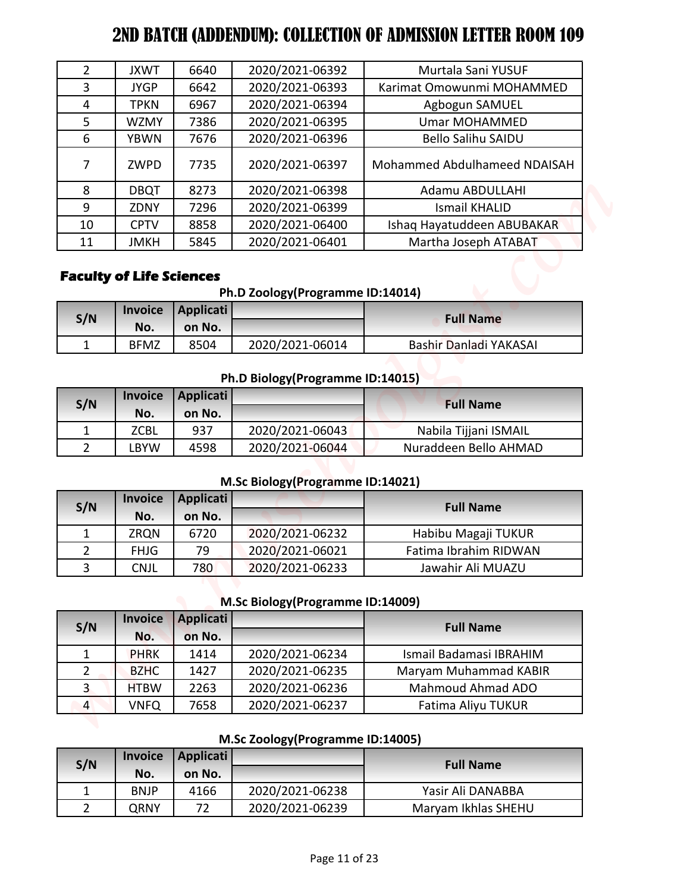| $\overline{2}$<br>3         |                                                   |                  |                                    |                                              |
|-----------------------------|---------------------------------------------------|------------------|------------------------------------|----------------------------------------------|
|                             | <b>JXWT</b>                                       | 6640             | 2020/2021-06392                    | Murtala Sani YUSUF                           |
|                             | <b>JYGP</b>                                       | 6642             | 2020/2021-06393                    | Karimat Omowunmi MOHAMMED                    |
| 4                           | <b>TPKN</b>                                       | 6967             | 2020/2021-06394                    | Agbogun SAMUEL                               |
| 5                           | <b>WZMY</b>                                       | 7386             | 2020/2021-06395                    | <b>Umar MOHAMMED</b>                         |
| 6                           | <b>YBWN</b>                                       | 7676             | 2020/2021-06396                    | <b>Bello Salihu SAIDU</b>                    |
| $\overline{7}$              | ZWPD                                              | 7735             | 2020/2021-06397                    | Mohammed Abdulhameed NDAISAH                 |
| 8                           | <b>DBQT</b>                                       | 8273             | 2020/2021-06398                    | Adamu ABDULLAHI                              |
| 9                           | ZDNY                                              | 7296             | 2020/2021-06399                    | <b>Ismail KHALID</b>                         |
| 10                          | <b>CPTV</b>                                       | 8858             | 2020/2021-06400                    | Ishaq Hayatuddeen ABUBAKAR                   |
| 11                          | <b>JMKH</b>                                       | 5845             | 2020/2021-06401                    | Martha Joseph ATABAT                         |
| S/N                         | <b>Faculty of Life Sciences</b><br><b>Invoice</b> | <b>Applicati</b> | Ph.D Zoology(Programme ID:14014)   | <b>Full Name</b>                             |
|                             | No.                                               | on No.           |                                    |                                              |
| $\mathbf{1}$                | <b>BFMZ</b>                                       | 8504             | 2020/2021-06014                    | Bashir Danladi YAKASAI                       |
|                             |                                                   |                  | Ph.D Biology (Programme ID:14015)  |                                              |
|                             | <b>Invoice</b>                                    | <b>Applicati</b> |                                    |                                              |
| S/N                         | No.                                               | on No.           |                                    | <b>Full Name</b>                             |
| $\mathbf{1}$                | <b>ZCBL</b>                                       | 937              | 2020/2021-06043                    | Nabila Tijjani ISMAIL                        |
| $\overline{2}$              | <b>LBYW</b>                                       | 4598             | 2020/2021-06044                    | Nuraddeen Bello AHMAD                        |
|                             |                                                   |                  |                                    |                                              |
|                             | <b>Invoice</b>                                    |                  | M.Sc Biology(Programme ID:14021)   |                                              |
| S/N                         |                                                   | <b>Applicati</b> |                                    | <b>Full Name</b>                             |
| $\mathbf{1}$                | No.<br><b>ZRQN</b>                                | on No.<br>6720   | 2020/2021-06232                    |                                              |
| $\overline{2}$              | <b>FHJG</b>                                       | 79               | 2020/2021-06021                    | Habibu Magaji TUKUR<br>Fatima Ibrahim RIDWAN |
| 3                           | <b>CNJL</b>                                       | 780              | 2020/2021-06233                    | Jawahir Ali MUAZU                            |
|                             |                                                   |                  |                                    |                                              |
|                             |                                                   |                  | M.Sc Biology (Programme ID:14009)  |                                              |
|                             |                                                   | <b>Applicati</b> |                                    | <b>Full Name</b>                             |
| S/N                         | <b>Invoice</b>                                    |                  |                                    |                                              |
|                             | No.                                               | on No.           |                                    |                                              |
| $\mathbf{1}$                | <b>PHRK</b>                                       | 1414             | 2020/2021-06234                    | Ismail Badamasi IBRAHIM                      |
| $\overline{2}$              | <b>BZHC</b>                                       | 1427             | 2020/2021-06235                    | Maryam Muhammad KABIR                        |
| $\overline{\mathbf{3}}$     | <b>HTBW</b>                                       | 2263             | 2020/2021-06236                    | Mahmoud Ahmad ADO                            |
| $\overline{4}$              | <b>VNFQ</b>                                       | 7658             | 2020/2021-06237                    | Fatima Aliyu TUKUR                           |
|                             |                                                   |                  | M.Sc Zoology(Programme ID:14005)   |                                              |
|                             | <b>Invoice</b>                                    | <b>Applicati</b> |                                    | <b>Full Name</b>                             |
| S/N                         | No.                                               | on No.           |                                    |                                              |
| $\mathbf{1}$<br>$2^{\circ}$ | <b>BNJP</b><br><b>QRNY</b>                        | 4166<br>72       | 2020/2021-06238<br>2020/2021-06239 | Yasir Ali DANABBA<br>Maryam Ikhlas SHEHU     |

# **Faculty of Life Sciences**

**Ph.D Zoology(Programme ID:14014)**

| S/N |             | Invoice   Applicati |                 | <b>Full Name</b>       |
|-----|-------------|---------------------|-----------------|------------------------|
|     | No.         | on No.              |                 |                        |
|     | <b>BFMZ</b> | 8504                | 2020/2021-06014 | Bashir Danladi YAKASAI |

# **Ph.D Biology(Programme ID:14015)**

| S/N |            | Invoice   Applicati |                 | <b>Full Name</b>      |
|-----|------------|---------------------|-----------------|-----------------------|
|     | No.        | on No.              |                 |                       |
|     | ZCBL       | 937                 | 2020/2021-06043 | Nabila Tijjani ISMAIL |
|     | <b>BYW</b> | 4598                | 2020/2021-06044 | Nuraddeen Bello AHMAD |

## **M.Sc Biology(Programme ID:14021)**

| S/N | <b>Invoice</b> | Applicati |                 | <b>Full Name</b>      |  |
|-----|----------------|-----------|-----------------|-----------------------|--|
|     | No.            | on No.    |                 |                       |  |
|     | <b>ZRQN</b>    | 6720      | 2020/2021-06232 | Habibu Magaji TUKUR   |  |
|     | <b>FHJG</b>    | 79        | 2020/2021-06021 | Fatima Ibrahim RIDWAN |  |
|     | CNJL           | 780       | 2020/2021-06233 | Jawahir Ali MUAZU     |  |

# **M.Sc Biology(Programme ID:14009)**

| S/N | <b>Invoice</b> | <b>Applicati</b> | <b>Full Name</b> |                         |
|-----|----------------|------------------|------------------|-------------------------|
|     | No.            | on No.           |                  |                         |
|     | <b>PHRK</b>    | 1414             | 2020/2021-06234  | Ismail Badamasi IBRAHIM |
|     | <b>BZHC</b>    | 1427             | 2020/2021-06235  | Maryam Muhammad KABIR   |
| 3   | <b>HTBW</b>    | 2263             | 2020/2021-06236  | Mahmoud Ahmad ADO       |
| 4   | <b>VNFQ</b>    | 7658             | 2020/2021-06237  | Fatima Aliyu TUKUR      |

## **M.Sc Zoology(Programme ID:14005)**

| S/N | <b>Invoice</b> | Applicati |                 | <b>Full Name</b>    |
|-----|----------------|-----------|-----------------|---------------------|
|     | No.            | on No.    |                 |                     |
|     | <b>BNJP</b>    | 4166      | 2020/2021-06238 | Yasir Ali DANABBA   |
|     | QRNY           | רד        | 2020/2021-06239 | Maryam Ikhlas SHEHU |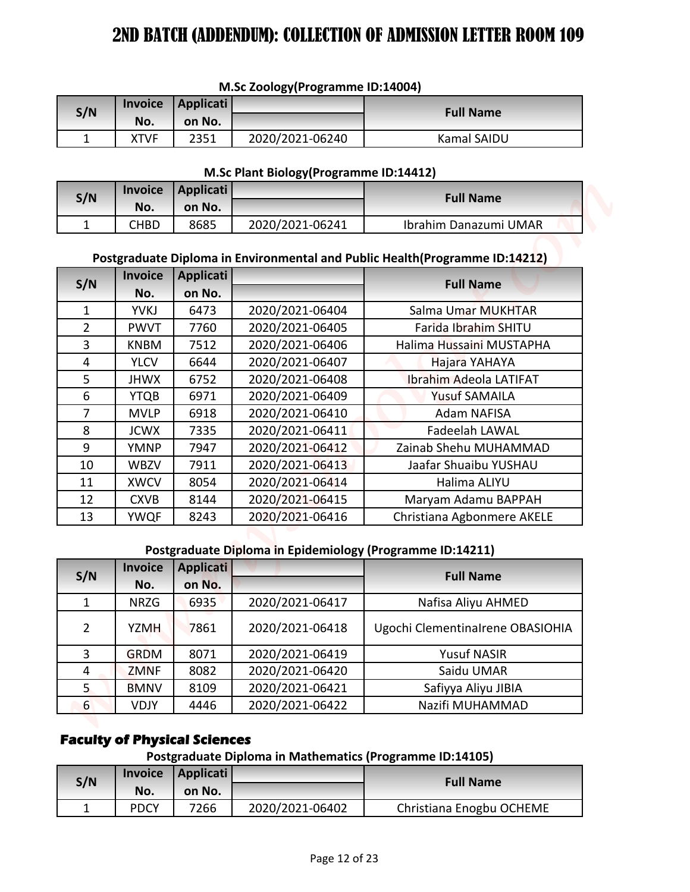| M.Sc Zoology (Programme ID:14004) |  |
|-----------------------------------|--|
|-----------------------------------|--|

| S/N |      | Invoice   Applicati |                 | <b>Full Name</b>   |
|-----|------|---------------------|-----------------|--------------------|
|     | No.  | on No.              |                 |                    |
|     | XTVF | 2351                | 2020/2021-06240 | <b>Kamal SAIDU</b> |

#### **M.Sc Plant Biology(Programme ID:14412)**

| S/N      | <b>Invoice</b> | Applicati |                 | <b>Full Name</b>      |
|----------|----------------|-----------|-----------------|-----------------------|
|          | No.            | on No.    |                 |                       |
| <b>+</b> | CHBD           | 8685      | 2020/2021-06241 | Ibrahim Danazumi UMAR |

# **Postgraduate Diploma in Environmental and Public Health(Programme ID:14212)**

|                |                       |                                     |                                         | <b>2ND BATCH (ADDENDUM): COLLECTION OF ADMISSION LETTER ROOM 109</b>         |
|----------------|-----------------------|-------------------------------------|-----------------------------------------|------------------------------------------------------------------------------|
|                |                       |                                     |                                         |                                                                              |
|                |                       |                                     | M.Sc Zoology(Programme ID:14004)        |                                                                              |
| S/N            | <b>Invoice</b>        | <b>Applicati</b>                    |                                         | <b>Full Name</b>                                                             |
|                | No.                   | on No.                              |                                         |                                                                              |
| 1              | <b>XTVF</b>           | 2351                                | 2020/2021-06240                         | Kamal SAIDU                                                                  |
|                |                       |                                     |                                         |                                                                              |
|                |                       |                                     | M.Sc Plant Biology (Programme ID:14412) |                                                                              |
| S/N            | <b>Invoice</b>        | <b>Applicati</b>                    |                                         | <b>Full Name</b>                                                             |
|                | No.                   | on No.                              |                                         |                                                                              |
| $\mathbf{1}$   | <b>CHBD</b>           | 8685                                | 2020/2021-06241                         | Ibrahim Danazumi UMAR                                                        |
|                |                       |                                     |                                         | Postgraduate Diploma in Environmental and Public Health (Programme ID:14212) |
|                | <b>Invoice</b>        | <b>Applicati</b>                    |                                         |                                                                              |
| S/N            | No.                   | on No.                              |                                         | <b>Full Name</b>                                                             |
| $\mathbf{1}$   | <b>YVKJ</b>           | 6473                                | 2020/2021-06404                         | Salma Umar MUKHTAR                                                           |
| $\overline{2}$ | <b>PWVT</b>           | 7760                                | 2020/2021-06405                         | Farida Ibrahim SHITU                                                         |
| 3              | <b>KNBM</b>           | 7512                                | 2020/2021-06406                         | Halima Hussaini MUSTAPHA                                                     |
| 4              | <b>YLCV</b>           | 6644                                | 2020/2021-06407                         | Hajara YAHAYA                                                                |
| 5              | <b>JHWX</b>           | 6752                                | 2020/2021-06408                         | Ibrahim Adeola LATIFAT                                                       |
| 6              | <b>YTQB</b>           | 6971                                | 2020/2021-06409                         | <b>Yusuf SAMAILA</b>                                                         |
| $\overline{7}$ | <b>MVLP</b>           | 6918                                | 2020/2021-06410                         | <b>Adam NAFISA</b>                                                           |
| 8              | <b>JCWX</b>           | 7335                                | 2020/2021-06411                         | Fadeelah LAWAL                                                               |
| 9              | <b>YMNP</b>           | 7947                                | 2020/2021-06412                         | Zainab Shehu MUHAMMAD                                                        |
| 10             | <b>WBZV</b>           | 7911                                | 2020/2021-06413                         | Jaafar Shuaibu YUSHAU                                                        |
| 11             | <b>XWCV</b>           | 8054                                | 2020/2021-06414                         | Halima ALIYU                                                                 |
| 12             | <b>CXVB</b>           | 8144                                | 2020/2021-06415                         | Maryam Adamu BAPPAH                                                          |
| 13             | <b>YWQF</b>           | 8243                                | 2020/2021-06416                         | Christiana Agbonmere AKELE                                                   |
|                |                       |                                     |                                         |                                                                              |
|                |                       |                                     |                                         | Postgraduate Diploma in Epidemiology (Programme ID:14211)                    |
| S/N            | Invoice               | <b>Applicati</b>                    |                                         | <b>Full Name</b>                                                             |
|                | No.                   | on No.                              |                                         |                                                                              |
| $\mathbf{1}$   | <b>NRZG</b>           | 6935                                | 2020/2021-06417                         | Nafisa Aliyu AHMED                                                           |
| $\overline{2}$ | <b>YZMH</b>           | 7861                                | 2020/2021-06418                         | Ugochi Clementinalrene OBASIOHIA                                             |
| $\overline{3}$ | <b>GRDM</b>           | 8071                                | 2020/2021-06419                         | <b>Yusuf NASIR</b>                                                           |
| 4              | <b>ZMNF</b>           | 8082                                | 2020/2021-06420                         | Saidu UMAR                                                                   |
| 5 <sub>1</sub> | <b>BMNV</b>           | 8109                                | 2020/2021-06421                         | Safiyya Aliyu JIBIA                                                          |
| 6              | <b>VDJY</b>           | 4446                                | 2020/2021-06422                         | Nazifi MUHAMMAD                                                              |
|                |                       |                                     |                                         |                                                                              |
|                |                       | <b>Faculty of Physical Sciences</b> |                                         |                                                                              |
|                |                       |                                     |                                         | Postgraduate Diploma in Mathematics (Programme ID:14105)                     |
| S/N            | <b>Invoice</b><br>No. | <b>Applicati</b><br>on No.          |                                         | <b>Full Name</b>                                                             |
|                | <b>PDCY</b>           | 7266                                | 2020/2021-06402                         | Christiana Enogbu OCHEME                                                     |

#### **Postgraduate Diploma in Epidemiology (Programme ID:14211)**

| S/N | <b>Invoice</b> | <b>Applicati</b> |                 | <b>Full Name</b>                 |
|-----|----------------|------------------|-----------------|----------------------------------|
|     | No.            | on No.           |                 |                                  |
| 1   | <b>NRZG</b>    | 6935             | 2020/2021-06417 | Nafisa Aliyu AHMED               |
| 2   | <b>YZMH</b>    | 7861             | 2020/2021-06418 | Ugochi Clementinalrene OBASIOHIA |
| 3   | <b>GRDM</b>    | 8071             | 2020/2021-06419 | <b>Yusuf NASIR</b>               |
| 4   | <b>ZMNF</b>    | 8082             | 2020/2021-06420 | Saidu UMAR                       |
| 5   | <b>BMNV</b>    | 8109             | 2020/2021-06421 | Safiyya Aliyu JIBIA              |
| 6   | <b>VDJY</b>    | 4446             | 2020/2021-06422 | Nazifi MUHAMMAD                  |

# **Faculty of Physical Sciences**

# **Postgraduate Diploma in Mathematics (Programme ID:14105)**

| S/N | <b>Invoice</b> | Applicati |                 | <b>Full Name</b>         |
|-----|----------------|-----------|-----------------|--------------------------|
|     | No.            | on No.    |                 |                          |
|     | <b>PDCY</b>    | 7266      | 2020/2021-06402 | Christiana Enogbu OCHEME |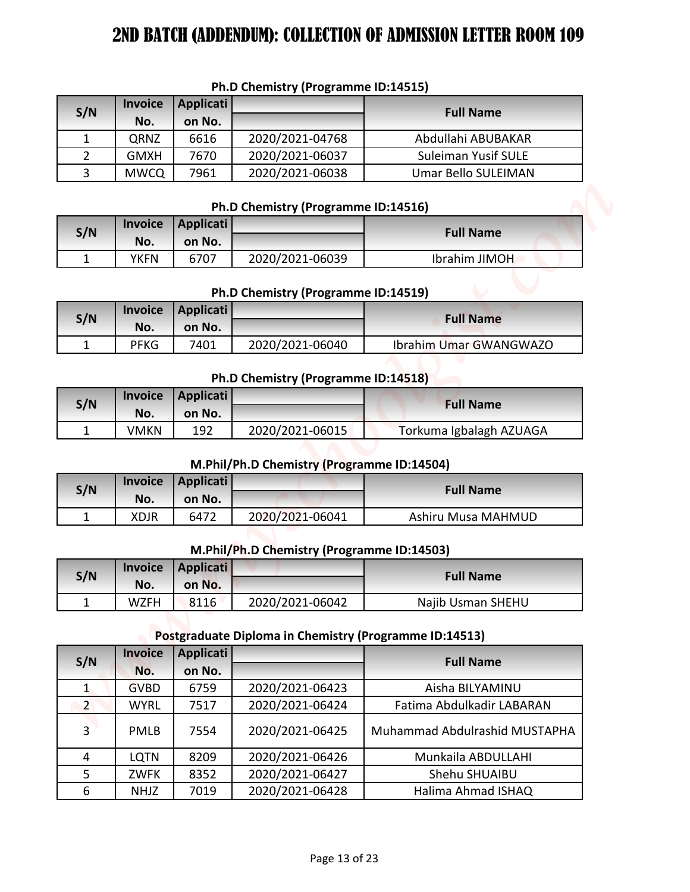| S/N | <b>Invoice</b><br>No. | Applicati<br>on No. |                 | <b>Full Name</b>           |
|-----|-----------------------|---------------------|-----------------|----------------------------|
|     | QRNZ                  | 6616                | 2020/2021-04768 | Abdullahi ABUBAKAR         |
|     | <b>GMXH</b>           | 7670                | 2020/2021-06037 | <b>Suleiman Yusif SULE</b> |
| 3   | <b>MWCQ</b>           | 7961                | 2020/2021-06038 | <b>Umar Bello SULEIMAN</b> |

#### **Ph.D Chemistry (Programme ID:14515)**

### **Ph.D Chemistry (Programme ID:14516)**

| S/N |      | Invoice Applicati |                 | <b>Full Name</b> |
|-----|------|-------------------|-----------------|------------------|
|     | No.  | on No.            |                 |                  |
|     | YKFN | 6707              | 2020/2021-06039 | Ibrahim JIMOH    |

# **Ph.D Chemistry (Programme ID:14519)**

| S/N |             | Invoice   Applicati |                 | <b>Full Name</b>       |
|-----|-------------|---------------------|-----------------|------------------------|
|     | No.         | on No.              |                 |                        |
|     | <b>PFKG</b> | 7401                | 2020/2021-06040 | Ibrahim Umar GWANGWAZO |

#### **Ph.D Chemistry (Programme ID:14518)**

| S/N |      | Invoice   Applicati |                 | <b>Full Name</b>        |
|-----|------|---------------------|-----------------|-------------------------|
|     | No.  | on No.              |                 |                         |
|     | VMKN | 192                 | 2020/2021-06015 | Torkuma Igbalagh AZUAGA |

## **M.Phil/Ph.D Chemistry (Programme ID:14504)**

| S/N |      | Invoice Applicati |                 | <b>Full Name</b>   |
|-----|------|-------------------|-----------------|--------------------|
|     | No.  | on No.            |                 |                    |
|     | XDJR | 6472              | 2020/2021-06041 | Ashiru Musa MAHMUD |

#### **M.Phil/Ph.D Chemistry (Programme ID:14503)**

| S/N |      | Invoice   Applicati |                 | <b>Full Name</b>  |
|-----|------|---------------------|-----------------|-------------------|
|     | No.  | on No.              |                 |                   |
| -   | WZFH | 8116                | 2020/2021-06042 | Najib Usman SHEHU |

# **Postgraduate Diploma in Chemistry (Programme ID:14513)**

| 1<br>$\overline{2}$<br>3 | <b>Invoice</b><br>No.<br>QRNZ | <b>Applicati</b><br>on No. | Ph.D Chemistry (Programme ID:14515)        |                                                        |
|--------------------------|-------------------------------|----------------------------|--------------------------------------------|--------------------------------------------------------|
| S/N                      |                               |                            |                                            |                                                        |
|                          |                               |                            |                                            | <b>Full Name</b>                                       |
|                          |                               | 6616                       | 2020/2021-04768                            | Abdullahi ABUBAKAR                                     |
|                          | <b>GMXH</b>                   | 7670                       | 2020/2021-06037                            | <b>Suleiman Yusif SULE</b>                             |
|                          | <b>MWCQ</b>                   | 7961                       | 2020/2021-06038                            | <b>Umar Bello SULEIMAN</b>                             |
|                          |                               |                            |                                            |                                                        |
|                          | <b>Invoice</b>                | <b>Applicati</b>           | Ph.D Chemistry (Programme ID:14516)        |                                                        |
| S/N                      | No.                           | on No.                     |                                            | <b>Full Name</b>                                       |
| $\mathbf{1}$             | <b>YKFN</b>                   | 6707                       | 2020/2021-06039                            | Ibrahim JIMOH                                          |
|                          |                               |                            |                                            |                                                        |
|                          | <b>Invoice</b>                | <b>Applicati</b>           | Ph.D Chemistry (Programme ID:14519)        |                                                        |
| S/N                      | No.                           | on No.                     |                                            | <b>Full Name</b>                                       |
| $\mathbf{1}$             | <b>PFKG</b>                   | 7401                       | 2020/2021-06040                            | Ibrahim Umar GWANGWAZO                                 |
|                          |                               |                            |                                            |                                                        |
|                          |                               |                            | Ph.D Chemistry (Programme ID:14518)        |                                                        |
| S/N                      | <b>Invoice</b>                | <b>Applicati</b>           |                                            | <b>Full Name</b>                                       |
|                          | No.                           | on No.                     |                                            |                                                        |
| 1                        | <b>VMKN</b>                   | 192                        | 2020/2021-06015                            | Torkuma Igbalagh AZUAGA                                |
|                          |                               |                            | M.Phil/Ph.D Chemistry (Programme ID:14504) |                                                        |
|                          | <b>Invoice</b>                | <b>Applicati</b>           |                                            |                                                        |
| S/N                      | No.                           | on No.                     |                                            | <b>Full Name</b>                                       |
| $\mathbf{1}$             | <b>XDJR</b>                   | 6472                       | 2020/2021-06041                            | Ashiru Musa MAHMUD                                     |
|                          |                               |                            |                                            |                                                        |
|                          |                               |                            | M.Phil/Ph.D Chemistry (Programme ID:14503) |                                                        |
| S/N                      | <b>Invoice</b>                | <b>Applicati</b>           |                                            | <b>Full Name</b>                                       |
| $\mathbf{1}$             | No.<br><b>WZFH</b>            | on No.<br>8116             | 2020/2021-06042                            | Najib Usman SHEHU                                      |
|                          |                               |                            |                                            |                                                        |
|                          |                               |                            |                                            | Postgraduate Diploma in Chemistry (Programme ID:14513) |
|                          | <b>Invoice</b>                | <b>Applicati</b>           |                                            |                                                        |
| S/N                      | No.                           | on No.                     |                                            | <b>Full Name</b>                                       |
|                          |                               | 6759                       | 2020/2021-06423                            | Aisha BILYAMINU                                        |
| $\mathbf{1}$             | <b>GVBD</b>                   |                            |                                            |                                                        |
| 2                        | <b>WYRL</b>                   | 7517                       | 2020/2021-06424                            | Fatima Abdulkadir LABARAN                              |
| 3                        | <b>PMLB</b>                   | 7554                       | 2020/2021-06425                            | Muhammad Abdulrashid MUSTAPHA                          |
| 4                        | <b>LQTN</b>                   | 8209                       | 2020/2021-06426                            | Munkaila ABDULLAHI                                     |
| 5                        | ZWFK                          | 8352                       | 2020/2021-06427                            | Shehu SHUAIBU                                          |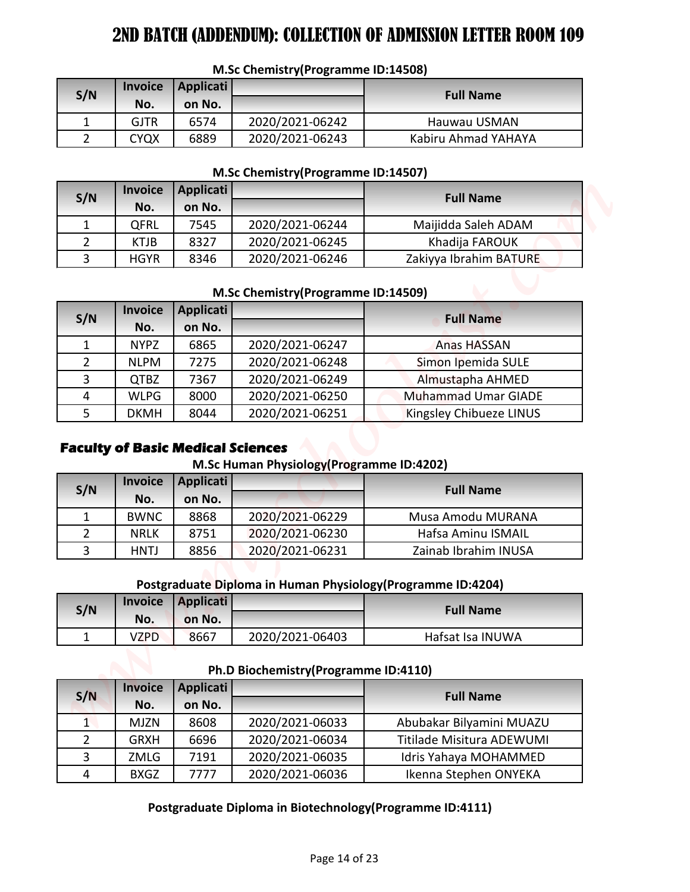| S/N | <b>Invoice</b> | Applicati |                 | <b>Full Name</b>    |
|-----|----------------|-----------|-----------------|---------------------|
|     | No.            | on No.    |                 |                     |
|     | <b>GJTR</b>    | 6574      | 2020/2021-06242 | Hauwau USMAN        |
|     | CYQX           | 6889      | 2020/2021-06243 | Kabiru Ahmad YAHAYA |

#### **M.Sc Chemistry(Programme ID:14508)**

#### **M.Sc Chemistry(Programme ID:14507)**

| S/N | <b>Invoice</b> | Applicati |                 | <b>Full Name</b>       |  |
|-----|----------------|-----------|-----------------|------------------------|--|
|     | No.            | on No.    |                 |                        |  |
|     | QFRL           | 7545      | 2020/2021-06244 | Maijidda Saleh ADAM    |  |
|     | <b>KTJB</b>    | 8327      | 2020/2021-06245 | Khadija FAROUK         |  |
|     | <b>HGYR</b>    | 8346      | 2020/2021-06246 | Zakiyya Ibrahim BATURE |  |

#### **M.Sc Chemistry(Programme ID:14509)**

| S/N                            | <b>Invoice</b><br>No.<br><b>GJTR</b><br><b>CYQX</b> | <b>Applicati</b><br>on No.<br>6574<br>6889 | 2020/2021-06242<br>2020/2021-06243                           | <b>Full Name</b><br>Hauwau USMAN<br>Kabiru Ahmad YAHAYA |
|--------------------------------|-----------------------------------------------------|--------------------------------------------|--------------------------------------------------------------|---------------------------------------------------------|
| $\mathbf{1}$<br>$\overline{2}$ |                                                     |                                            |                                                              |                                                         |
|                                |                                                     |                                            |                                                              |                                                         |
|                                |                                                     |                                            |                                                              |                                                         |
|                                |                                                     |                                            |                                                              |                                                         |
|                                |                                                     |                                            | M.Sc Chemistry(Programme ID:14507)                           |                                                         |
| S/N                            | <b>Invoice</b>                                      | <b>Applicati</b><br>on No.                 |                                                              | <b>Full Name</b>                                        |
| $\mathbf{1}$                   | No.<br>QFRL                                         | 7545                                       | 2020/2021-06244                                              | Maijidda Saleh ADAM                                     |
| $\overline{2}$                 | <b>KTJB</b>                                         | 8327                                       | 2020/2021-06245                                              | Khadija FAROUK                                          |
| 3                              | <b>HGYR</b>                                         | 8346                                       | 2020/2021-06246                                              | Zakiyya Ibrahim BATURE                                  |
|                                |                                                     |                                            |                                                              |                                                         |
|                                | <b>Invoice</b>                                      | <b>Applicati</b>                           | M.Sc Chemistry(Programme ID:14509)                           |                                                         |
| S/N                            | No.                                                 | on No.                                     |                                                              | <b>Full Name</b>                                        |
| $\mathbf{1}$                   | <b>NYPZ</b>                                         | 6865                                       | 2020/2021-06247                                              | <b>Anas HASSAN</b>                                      |
| $\overline{2}$                 | <b>NLPM</b>                                         | 7275                                       | 2020/2021-06248                                              | Simon Ipemida SULE                                      |
| 3                              | <b>QTBZ</b>                                         | 7367                                       | 2020/2021-06249                                              | Almustapha AHMED                                        |
| 4                              | <b>WLPG</b>                                         | 8000                                       | 2020/2021-06250                                              | <b>Muhammad Umar GIADE</b>                              |
| 5                              | <b>DKMH</b>                                         | 8044                                       | 2020/2021-06251                                              | Kingsley Chibueze LINUS                                 |
|                                |                                                     |                                            |                                                              |                                                         |
|                                |                                                     | <b>Faculty of Basic Medical Sciences</b>   | M.Sc Human Physiology (Programme ID:4202)                    |                                                         |
|                                | <b>Invoice</b>                                      | <b>Applicati</b>                           |                                                              | <b>Full Name</b>                                        |
|                                | No.                                                 | on No.                                     |                                                              |                                                         |
| S/N<br>$\mathbf{1}$            | <b>BWNC</b>                                         | 8868                                       | 2020/2021-06229                                              | Musa Amodu MURANA                                       |
| $\overline{2}$                 | <b>NRLK</b>                                         | 8751                                       | 2020/2021-06230                                              | Hafsa Aminu ISMAIL                                      |
| 3                              | <b>HNTJ</b>                                         | 8856                                       | 2020/2021-06231                                              | Zainab Ibrahim INUSA                                    |
|                                |                                                     |                                            | Postgraduate Diploma in Human Physiology (Programme ID:4204) |                                                         |
|                                | Invoice                                             | <b>Applicati</b>                           |                                                              |                                                         |
|                                | No.                                                 | on No.                                     |                                                              | <b>Full Name</b>                                        |
| $\mathbf{1}$                   | <b>VZPD</b>                                         | 8667                                       | 2020/2021-06403                                              | Hafsat Isa INUWA                                        |
| S/N                            |                                                     |                                            | Ph.D Biochemistry(Programme ID:4110)                         |                                                         |
|                                | <b>Invoice</b>                                      |                                            |                                                              |                                                         |
| S/N                            | No.                                                 | <b>Applicati</b><br>on No.                 |                                                              | <b>Full Name</b>                                        |
| $\mathbf{1}$                   | <b>MJZN</b>                                         | 8608                                       | 2020/2021-06033                                              | Abubakar Bilyamini MUAZU                                |
| $\overline{2}$                 | <b>GRXH</b>                                         | 6696                                       | 2020/2021-06034                                              | Titilade Misitura ADEWUMI                               |
| 3                              | ZMLG                                                | 7191                                       | 2020/2021-06035                                              | Idris Yahaya MOHAMMED                                   |

## **Faculty of Basic Medical Sciences**

## **M.Sc Human Physiology(Programme ID:4202)**

| S/N          | <b>Invoice</b> | Applicati |                 | <b>Full Name</b>     |
|--------------|----------------|-----------|-----------------|----------------------|
|              | No.            | on No.    |                 |                      |
|              | <b>BWNC</b>    | 8868      | 2020/2021-06229 | Musa Amodu MURANA    |
|              | <b>NRLK</b>    | 8751      | 2020/2021-06230 | Hafsa Aminu ISMAIL   |
| $\mathbf{R}$ | <b>HNTJ</b>    | 8856      | 2020/2021-06231 | Zainab Ibrahim INUSA |

#### **Postgraduate Diploma in Human Physiology(Programme ID:4204)**

| S/N | <b>Invoice</b> | <b>Applicati</b> |                 | <b>Full Name</b> |
|-----|----------------|------------------|-----------------|------------------|
|     | No.            | on No.           |                 |                  |
|     | VZPD           | 8667             | 2020/2021-06403 | Hafsat Isa INUWA |

# **Ph.D Biochemistry(Programme ID:4110)**

| S/N           | <b>Invoice</b> | <b>Applicati</b> |                 | <b>Full Name</b>          |
|---------------|----------------|------------------|-----------------|---------------------------|
|               | No.            | on No.           |                 |                           |
| 1.            | <b>MJZN</b>    | 8608             | 2020/2021-06033 | Abubakar Bilyamini MUAZU  |
| $\mathcal{P}$ | <b>GRXH</b>    | 6696             | 2020/2021-06034 | Titilade Misitura ADEWUMI |
| 3             | <b>ZMLG</b>    | 7191             | 2020/2021-06035 | Idris Yahaya MOHAMMED     |
| 4             | <b>BXGZ</b>    | 7777             | 2020/2021-06036 | Ikenna Stephen ONYEKA     |

### **Postgraduate Diploma in Biotechnology(Programme ID:4111)**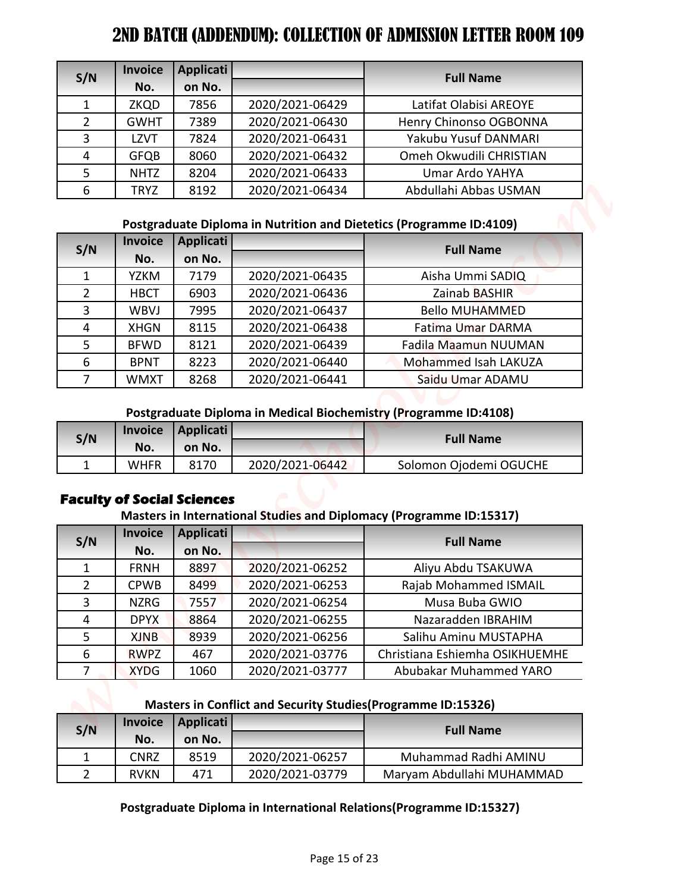| S/N            | <b>Invoice</b> | Applicati |                 | <b>Full Name</b>        |
|----------------|----------------|-----------|-----------------|-------------------------|
|                | No.            | on No.    |                 |                         |
|                | <b>ZKQD</b>    | 7856      | 2020/2021-06429 | Latifat Olabisi AREOYE  |
| $\overline{2}$ | <b>GWHT</b>    | 7389      | 2020/2021-06430 | Henry Chinonso OGBONNA  |
| 3              | LZVT           | 7824      | 2020/2021-06431 | Yakubu Yusuf DANMARI    |
| 4              | <b>GFQB</b>    | 8060      | 2020/2021-06432 | Omeh Okwudili CHRISTIAN |
|                | <b>NHTZ</b>    | 8204      | 2020/2021-06433 | Umar Ardo YAHYA         |
| 6              | <b>TRYZ</b>    | 8192      | 2020/2021-06434 | Abdullahi Abbas USMAN   |

### **Postgraduate Diploma in Nutrition and Dietetics (Programme ID:4109)**

| S/N            | <b>Invoice</b>        | <b>Applicati</b>                               |                 | <b>Full Name</b>                                                                     |
|----------------|-----------------------|------------------------------------------------|-----------------|--------------------------------------------------------------------------------------|
|                | No.                   | on No.                                         |                 |                                                                                      |
| 1              | <b>ZKQD</b>           | 7856                                           | 2020/2021-06429 | Latifat Olabisi AREOYE                                                               |
| $\overline{2}$ | <b>GWHT</b>           | 7389                                           | 2020/2021-06430 | Henry Chinonso OGBONNA                                                               |
| 3              | <b>LZVT</b>           | 7824                                           | 2020/2021-06431 | Yakubu Yusuf DANMARI                                                                 |
| 4              | <b>GFQB</b>           | 8060                                           | 2020/2021-06432 | Omeh Okwudili CHRISTIAN                                                              |
| 5              | <b>NHTZ</b>           | 8204                                           | 2020/2021-06433 | Umar Ardo YAHYA                                                                      |
| 6              | <b>TRYZ</b>           | 8192                                           | 2020/2021-06434 | Abdullahi Abbas USMAN                                                                |
|                |                       |                                                |                 | Postgraduate Diploma in Nutrition and Dietetics (Programme ID:4109)                  |
|                | <b>Invoice</b>        | <b>Applicati</b>                               |                 |                                                                                      |
| S/N            | No.                   | on No.                                         |                 | <b>Full Name</b>                                                                     |
| $\mathbf{1}$   | <b>YZKM</b>           | 7179                                           | 2020/2021-06435 | Aisha Ummi SADIQ                                                                     |
| $\overline{2}$ | <b>HBCT</b>           | 6903                                           | 2020/2021-06436 | Zainab BASHIR                                                                        |
| $\overline{3}$ | <b>WBVJ</b>           | 7995                                           | 2020/2021-06437 | <b>Bello MUHAMMED</b>                                                                |
| 4              | <b>XHGN</b>           | 8115                                           | 2020/2021-06438 | Fatima Umar DARMA                                                                    |
| 5              | <b>BFWD</b>           | 8121                                           | 2020/2021-06439 | Fadila Maamun NUUMAN                                                                 |
| 6              | <b>BPNT</b>           | 8223                                           | 2020/2021-06440 | Mohammed Isah LAKUZA                                                                 |
| $\overline{7}$ | <b>WMXT</b>           | 8268                                           | 2020/2021-06441 | Saidu Umar ADAMU                                                                     |
| S/N            | <b>Invoice</b><br>No. | <b>Applicati</b><br>on No.                     |                 | Postgraduate Diploma in Medical Biochemistry (Programme ID:4108)<br><b>Full Name</b> |
| $\mathbf{1}$   | <b>WHFR</b>           | 8170                                           | 2020/2021-06442 | Solomon Ojodemi OGUCHE                                                               |
|                |                       |                                                |                 |                                                                                      |
|                | <b>Invoice</b>        | <b>Faculty of Social Sciences</b><br>Applicati |                 | Masters in International Studies and Diplomacy (Programme ID:15317)                  |
| S/N            | No.                   | on No.                                         |                 | <b>Full Name</b>                                                                     |
| $\mathbf{1}$   | <b>FRNH</b>           | 8897                                           | 2020/2021-06252 | Aliyu Abdu TSAKUWA                                                                   |
| $\overline{2}$ | <b>CPWB</b>           | 8499                                           | 2020/2021-06253 | Rajab Mohammed ISMAIL                                                                |
| 3              | <b>NZRG</b>           | 7557                                           | 2020/2021-06254 | Musa Buba GWIO                                                                       |
| 4              | <b>DPYX</b>           | 8864                                           | 2020/2021-06255 | Nazaradden IBRAHIM                                                                   |
| 5              | <b>XJNB</b>           | 8939                                           | 2020/2021-06256 | Salihu Aminu MUSTAPHA                                                                |
| 6              | <b>RWPZ</b>           | 467                                            | 2020/2021-03776 | Christiana Eshiemha OSIKHUEMHE                                                       |
| 7              | <b>XYDG</b>           | 1060                                           | 2020/2021-03777 | Abubakar Muhammed YARO                                                               |
|                |                       |                                                |                 |                                                                                      |
|                |                       |                                                |                 | Masters in Conflict and Security Studies (Programme ID:15326)                        |
| S/N            | <b>Invoice</b><br>No. | <b>Applicati</b><br>on No.                     |                 | <b>Full Name</b>                                                                     |
| $\mathbf{1}$   | <b>CNRZ</b>           | 8519                                           | 2020/2021-06257 | Muhammad Radhi AMINU                                                                 |

# **Postgraduate Diploma in Medical Biochemistry (Programme ID:4108)**

| S/N | <b>Invoice</b> | Applicati |                 | <b>Full Name</b>       |  |
|-----|----------------|-----------|-----------------|------------------------|--|
|     | No.            | on No.    |                 |                        |  |
|     | WHFR           | 8170      | 2020/2021-06442 | Solomon Ojodemi OGUCHE |  |

# **Faculty of Social Sciences**

## **Masters in International Studies and Diplomacy (Programme ID:15317)**

| S/N            | <b>Invoice</b> | Applicati |                 | <b>Full Name</b>               |
|----------------|----------------|-----------|-----------------|--------------------------------|
|                | No.            | on No.    |                 |                                |
|                | <b>FRNH</b>    | 8897      | 2020/2021-06252 | Aliyu Abdu TSAKUWA             |
| $\overline{2}$ | <b>CPWB</b>    | 8499      | 2020/2021-06253 | Rajab Mohammed ISMAIL          |
| 3              | <b>NZRG</b>    | 7557      | 2020/2021-06254 | Musa Buba GWIO                 |
| 4              | <b>DPYX</b>    | 8864      | 2020/2021-06255 | Nazaradden IBRAHIM             |
| 5              | <b>XJNB</b>    | 8939      | 2020/2021-06256 | Salihu Aminu MUSTAPHA          |
| 6              | <b>RWPZ</b>    | 467       | 2020/2021-03776 | Christiana Eshiemha OSIKHUEMHE |
|                | <b>XYDG</b>    | 1060      | 2020/2021-03777 | Abubakar Muhammed YARO         |

#### **Masters in Conflict and Security Studies(Programme ID:15326)**

| S/N | <b>Invoice</b><br>No. | Applicati<br>on No. |                 | <b>Full Name</b>          |
|-----|-----------------------|---------------------|-----------------|---------------------------|
|     | CNRZ                  | 8519                | 2020/2021-06257 | Muhammad Radhi AMINU      |
|     | <b>RVKN</b>           | 471                 | 2020/2021-03779 | Maryam Abdullahi MUHAMMAD |

# **Postgraduate Diploma in International Relations(Programme ID:15327)**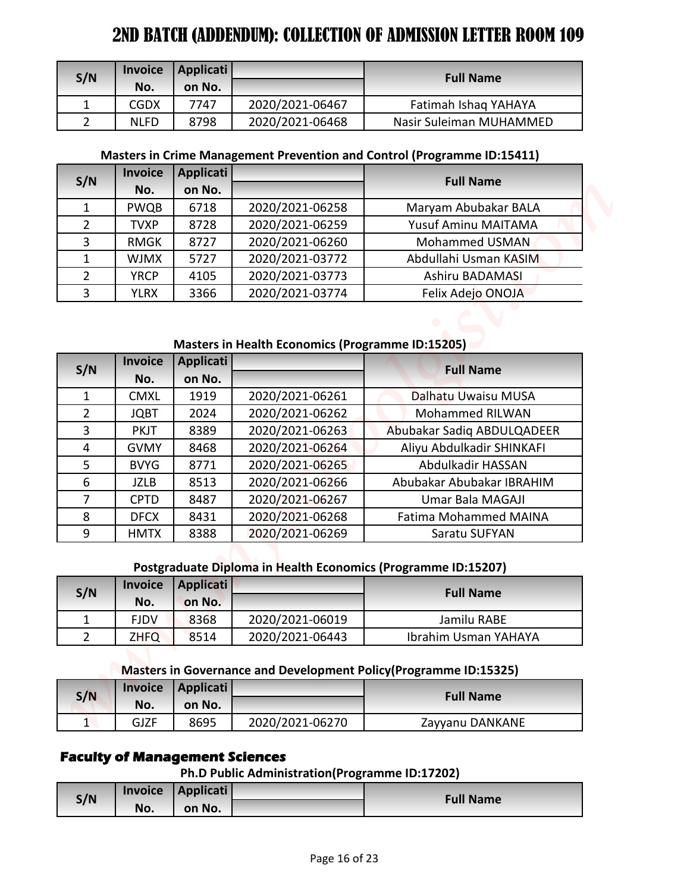| S/N | <b>Invoice</b> | Applicati |                 | <b>Full Name</b>        |
|-----|----------------|-----------|-----------------|-------------------------|
|     | No.            | on No.    |                 |                         |
|     | <b>CGDX</b>    | 7747      | 2020/2021-06467 | Fatimah Ishaq YAHAYA    |
|     | <b>NLFD</b>    | 8798      | 2020/2021-06468 | Nasir Suleiman MUHAMMED |

### **Masters in Crime Management Prevention and Control (Programme ID:15411)**

| S/N           | <b>Invoice</b> | <b>Applicati</b> |                 | <b>Full Name</b>      |  |
|---------------|----------------|------------------|-----------------|-----------------------|--|
|               | No.            | on No.           |                 |                       |  |
|               | <b>PWQB</b>    | 6718             | 2020/2021-06258 | Maryam Abubakar BALA  |  |
| 2             | <b>TVXP</b>    | 8728             | 2020/2021-06259 | Yusuf Aminu MAITAMA   |  |
| 3             | <b>RMGK</b>    | 8727             | 2020/2021-06260 | Mohammed USMAN        |  |
|               | <b>WJMX</b>    | 5727             | 2020/2021-03772 | Abdullahi Usman KASIM |  |
| $\mathcal{P}$ | <b>YRCP</b>    | 4105             | 2020/2021-03773 | Ashiru BADAMASI       |  |
| 3             | <b>YLRX</b>    | 3366             | 2020/2021-03774 | Felix Adejo ONOJA     |  |

## **Masters in Health Economics (Programme ID:15205)**

|                | <b>Invoice</b>     | <b>Applicati</b>                              |                                                |                                                                                           |
|----------------|--------------------|-----------------------------------------------|------------------------------------------------|-------------------------------------------------------------------------------------------|
| S/N            | No.                | on No.                                        |                                                | <b>Full Name</b>                                                                          |
| 1              | <b>CGDX</b>        | 7747                                          | 2020/2021-06467                                | Fatimah Ishaq YAHAYA                                                                      |
| $\overline{2}$ | <b>NLFD</b>        | 8798                                          | 2020/2021-06468                                | Nasir Suleiman MUHAMMED                                                                   |
|                |                    |                                               |                                                | Masters in Crime Management Prevention and Control (Programme ID:15411)                   |
|                | <b>Invoice</b>     | <b>Applicati</b>                              |                                                |                                                                                           |
| S/N            | No.                | on No.                                        |                                                | <b>Full Name</b>                                                                          |
| $\mathbf{1}$   | PWQB               | 6718                                          | 2020/2021-06258                                | Maryam Abubakar BALA                                                                      |
| $\overline{2}$ | <b>TVXP</b>        | 8728                                          | 2020/2021-06259                                | Yusuf Aminu MAITAMA                                                                       |
| 3              | <b>RMGK</b>        | 8727                                          | 2020/2021-06260                                | Mohammed USMAN                                                                            |
| $\mathbf{1}$   | <b>WJMX</b>        | 5727                                          | 2020/2021-03772                                | Abdullahi Usman KASIM                                                                     |
| $\overline{2}$ | <b>YRCP</b>        | 4105                                          | 2020/2021-03773                                | Ashiru BADAMASI                                                                           |
| 3              | <b>YLRX</b>        | 3366                                          | 2020/2021-03774                                | Felix Adejo ONOJA                                                                         |
|                |                    |                                               |                                                |                                                                                           |
| S/N            | No.                | on No.                                        |                                                | <b>Full Name</b>                                                                          |
| 1              | <b>CMXL</b>        | 1919                                          | 2020/2021-06261                                | Dalhatu Uwaisu MUSA                                                                       |
| $\overline{2}$ | <b>JQBT</b>        | 2024                                          | 2020/2021-06262                                | Mohammed RILWAN                                                                           |
| $\overline{3}$ | <b>PKJT</b>        | 8389                                          | 2020/2021-06263                                | Abubakar Sadiq ABDULQADEER                                                                |
| 4              | <b>GVMY</b>        | 8468                                          | 2020/2021-06264                                | Aliyu Abdulkadir SHINKAFI                                                                 |
| 5              | <b>BVYG</b>        | 8771                                          | 2020/2021-06265                                | Abdulkadir HASSAN                                                                         |
|                | <b>JZLB</b>        | 8513                                          | 2020/2021-06266                                | Abubakar Abubakar IBRAHIM                                                                 |
| 6              |                    | 8487                                          | 2020/2021-06267                                | Umar Bala MAGAJI<br><b>Fatima Mohammed MAINA</b>                                          |
| $\overline{7}$ | <b>CPTD</b>        |                                               |                                                |                                                                                           |
| 8              | <b>DFCX</b>        | 8431                                          | 2020/2021-06268                                |                                                                                           |
| 9              | <b>HMTX</b>        | 8388                                          | 2020/2021-06269                                | Saratu SUFYAN                                                                             |
|                |                    |                                               |                                                | Postgraduate Diploma in Health Economics (Programme ID:15207)                             |
|                | <b>Invoice</b>     | <b>Applicati</b>                              |                                                | <b>Full Name</b>                                                                          |
| S/N<br>1       | No.<br><b>FJDV</b> | on No.                                        |                                                | Jamilu RABE                                                                               |
|                |                    | 8368                                          | 2020/2021-06019                                |                                                                                           |
| $2^{\circ}$    | <b>ZHFQ</b>        | 8514                                          | 2020/2021-06443                                | Ibrahim Usman YAHAYA<br>Masters in Governance and Development Policy (Programme ID:15325) |
| S/N            | <b>Invoice</b>     | Applicati                                     |                                                | <b>Full Name</b>                                                                          |
|                | No.                | on No.                                        |                                                |                                                                                           |
| 1              | <b>GJZF</b>        | 8695<br><b>Faculty of Management Sciences</b> | 2020/2021-06270                                | Zayyanu DANKANE                                                                           |
| S/N            | <b>Invoice</b>     | Applicati                                     | Ph.D Public Administration(Programme ID:17202) | <b>Full Name</b>                                                                          |

## **Postgraduate Diploma in Health Economics (Programme ID:15207)**

| S/N | <b>Invoice</b> | Applicati |                 | <b>Full Name</b>     |
|-----|----------------|-----------|-----------------|----------------------|
|     | No.            | on No.    |                 |                      |
|     | <b>FJDV</b>    | 8368      | 2020/2021-06019 | Jamilu RABE          |
|     | <b>ZHFQ</b>    | 8514      | 2020/2021-06443 | Ibrahim Usman YAHAYA |

#### **Masters in Governance and Development Policy(Programme ID:15325)**

| S/N     | <b>Invoice</b> | Applicati |                 | <b>Full Name</b> |
|---------|----------------|-----------|-----------------|------------------|
|         | No.            | on No.    |                 |                  |
| л<br>÷. | GJZF           | 8695      | 2020/2021-06270 | Zayyanu DANKANE  |

# **Faculty of Management Sciences**

**Ph.D Public Administration(Programme ID:17202)**

|     | <b>Invoice</b> | Applicati | <b>Full Name</b> |
|-----|----------------|-----------|------------------|
| S/N | No.            | on No.    |                  |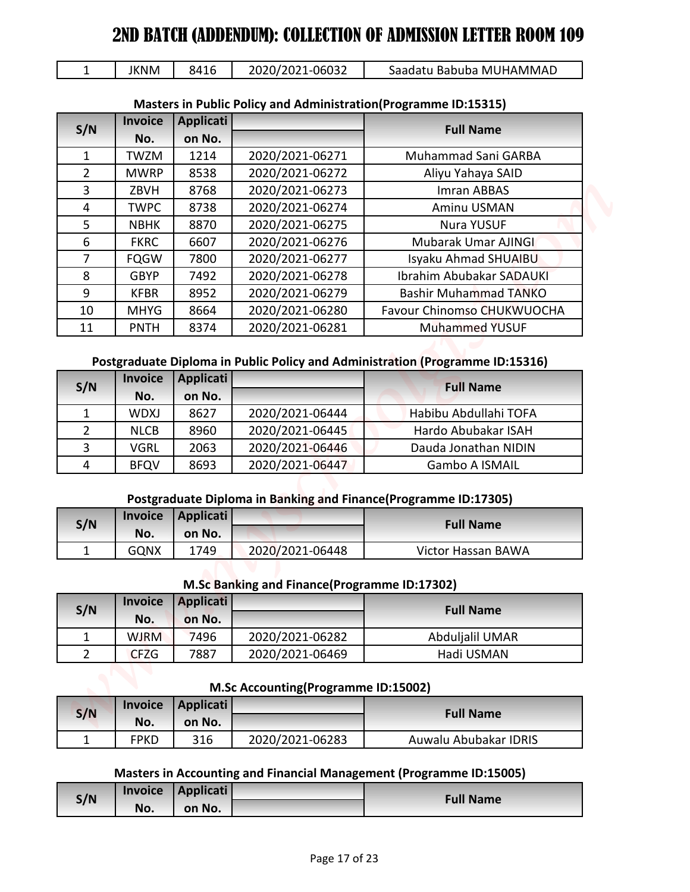|  | <b>JKNM</b> | 8416 | 2020/2021-06032 | Saadatu Babuba MUHAMMAD |  |
|--|-------------|------|-----------------|-------------------------|--|
|--|-------------|------|-----------------|-------------------------|--|

| $\mathbf{1}$                   | <b>JKNM</b>                | 8416             | 2020/2021-06032                              | Saadatu Babuba MUHAMMAD                                                                 |
|--------------------------------|----------------------------|------------------|----------------------------------------------|-----------------------------------------------------------------------------------------|
|                                |                            |                  |                                              |                                                                                         |
|                                |                            |                  |                                              | <b>Masters in Public Policy and Administration (Programme ID:15315)</b>                 |
| S/N                            | <b>Invoice</b>             | <b>Applicati</b> |                                              | <b>Full Name</b>                                                                        |
|                                | No.                        | on No.           |                                              |                                                                                         |
| $\mathbf{1}$<br>$\overline{2}$ | <b>TWZM</b><br><b>MWRP</b> | 1214             | 2020/2021-06271<br>2020/2021-06272           | Muhammad Sani GARBA                                                                     |
| 3                              | ZBVH                       | 8538<br>8768     | 2020/2021-06273                              | Aliyu Yahaya SAID<br>Imran ABBAS                                                        |
| $\overline{4}$                 | <b>TWPC</b>                | 8738             | 2020/2021-06274                              | Aminu USMAN                                                                             |
| 5                              | <b>NBHK</b>                | 8870             | 2020/2021-06275                              | <b>Nura YUSUF</b>                                                                       |
| 6                              | <b>FKRC</b>                | 6607             | 2020/2021-06276                              | Mubarak Umar AJINGI                                                                     |
| 7                              | <b>FQGW</b>                | 7800             | 2020/2021-06277                              | Isyaku Ahmad SHUAIBU                                                                    |
| 8                              | <b>GBYP</b>                | 7492             | 2020/2021-06278                              | <b>Ibrahim Abubakar SADAUKI</b>                                                         |
| 9                              | <b>KFBR</b>                | 8952             | 2020/2021-06279                              | <b>Bashir Muhammad TANKO</b>                                                            |
| 10                             | <b>MHYG</b>                | 8664             | 2020/2021-06280                              | Favour Chinomso CHUKWUOCHA                                                              |
| 11                             | <b>PNTH</b>                | 8374             | 2020/2021-06281                              | <b>Muhammed YUSUF</b>                                                                   |
|                                |                            |                  |                                              |                                                                                         |
|                                |                            |                  |                                              | Postgraduate Diploma in Public Policy and Administration (Programme ID:15316)           |
| S/N                            | <b>Invoice</b>             | Applicati        |                                              | <b>Full Name</b>                                                                        |
|                                | No.                        | on No.           |                                              |                                                                                         |
| $\mathbf{1}$                   | <b>WDXJ</b>                | 8627             | 2020/2021-06444                              | Habibu Abdullahi TOFA                                                                   |
| $\overline{2}$                 | <b>NLCB</b>                | 8960             | 2020/2021-06445                              | Hardo Abubakar ISAH                                                                     |
|                                |                            | 2063             | 2020/2021-06446                              | Dauda Jonathan NIDIN                                                                    |
| 3                              | <b>VGRL</b>                |                  |                                              |                                                                                         |
| 4                              | <b>BFQV</b>                | 8693             | 2020/2021-06447                              | Gambo A ISMAIL                                                                          |
|                                |                            |                  |                                              |                                                                                         |
|                                |                            |                  |                                              | Postgraduate Diploma in Banking and Finance(Programme ID:17305)                         |
| S/N                            | <b>Invoice</b>             | <b>Applicati</b> |                                              | <b>Full Name</b>                                                                        |
|                                | No.                        | on No.           |                                              |                                                                                         |
| $\mathbf 1$                    | <b>GQNX</b>                | 1749             | 2020/2021-06448                              | Victor Hassan BAWA                                                                      |
|                                |                            |                  |                                              |                                                                                         |
|                                | <b>Invoice</b>             | <b>Applicati</b> | M.Sc Banking and Finance(Programme ID:17302) |                                                                                         |
| S/N                            | No.                        | on No.           |                                              | <b>Full Name</b>                                                                        |
| $\mathbf{1}$                   | <b>WJRM</b>                | 7496             | 2020/2021-06282                              | Abduljalil UMAR                                                                         |
| $2^{\circ}$                    | <b>CFZG</b>                | 7887             | 2020/2021-06469                              | Hadi USMAN                                                                              |
|                                |                            |                  |                                              |                                                                                         |
|                                |                            |                  | M.Sc Accounting(Programme ID:15002)          |                                                                                         |
|                                | <b>Invoice</b>             | <b>Applicati</b> |                                              |                                                                                         |
| S/N                            | No.                        | on No.           |                                              | <b>Full Name</b>                                                                        |
| $\mathbf{1}$                   | <b>FPKD</b>                | 316              | 2020/2021-06283                              | Auwalu Abubakar IDRIS                                                                   |
|                                |                            |                  |                                              |                                                                                         |
| S/N                            | <b>Invoice</b>             | Applicati        |                                              | Masters in Accounting and Financial Management (Programme ID:15005)<br><b>Full Name</b> |

# **Masters in Public Policy and Administration(Programme ID:15315)**

## **Postgraduate Diploma in Public Policy and Administration (Programme ID:15316)**

| S/N | <b>Invoice</b> | Applicati |                 | <b>Full Name</b>      |
|-----|----------------|-----------|-----------------|-----------------------|
|     | No.            | on No.    |                 |                       |
|     | <b>WDXJ</b>    | 8627      | 2020/2021-06444 | Habibu Abdullahi TOFA |
|     | <b>NLCB</b>    | 8960      | 2020/2021-06445 | Hardo Abubakar ISAH   |
| 3   | VGRL           | 2063      | 2020/2021-06446 | Dauda Jonathan NIDIN  |
| 4   | <b>BFQV</b>    | 8693      | 2020/2021-06447 | <b>Gambo A ISMAIL</b> |

## **Postgraduate Diploma in Banking and Finance(Programme ID:17305)**

| S/N      |             | Invoice Applicati |                 | <b>Full Name</b>          |
|----------|-------------|-------------------|-----------------|---------------------------|
|          | No.         | on No.            |                 |                           |
| <b>+</b> | <b>GQNX</b> | 1749              | 2020/2021-06448 | <b>Victor Hassan BAWA</b> |

#### **M.Sc Banking and Finance(Programme ID:17302)**

| S/N | <b>Invoice</b> | <b>Applicati</b> |                 | <b>Full Name</b> |
|-----|----------------|------------------|-----------------|------------------|
|     | No.            | on No.           |                 |                  |
|     | <b>WJRM</b>    | 7496             | 2020/2021-06282 | Abduljalil UMAR  |
|     | <b>CFZG</b>    | 7887             | 2020/2021-06469 | Hadi USMAN       |

#### **M.Sc Accounting(Programme ID:15002)**

| S/N | <b>Invoice</b> | Applicati |                 | <b>Full Name</b>      |  |
|-----|----------------|-----------|-----------------|-----------------------|--|
|     | No.            | on No.    |                 |                       |  |
|     | FPKD           | 316       | 2020/2021-06283 | Auwalu Abubakar IDRIS |  |

#### **Masters in Accounting and Financial Management (Programme ID:15005)**

| S/N | <b>Invoice</b> | <b>Applicati</b> | <b>Full Name</b> |
|-----|----------------|------------------|------------------|
|     | No.            | on No.           |                  |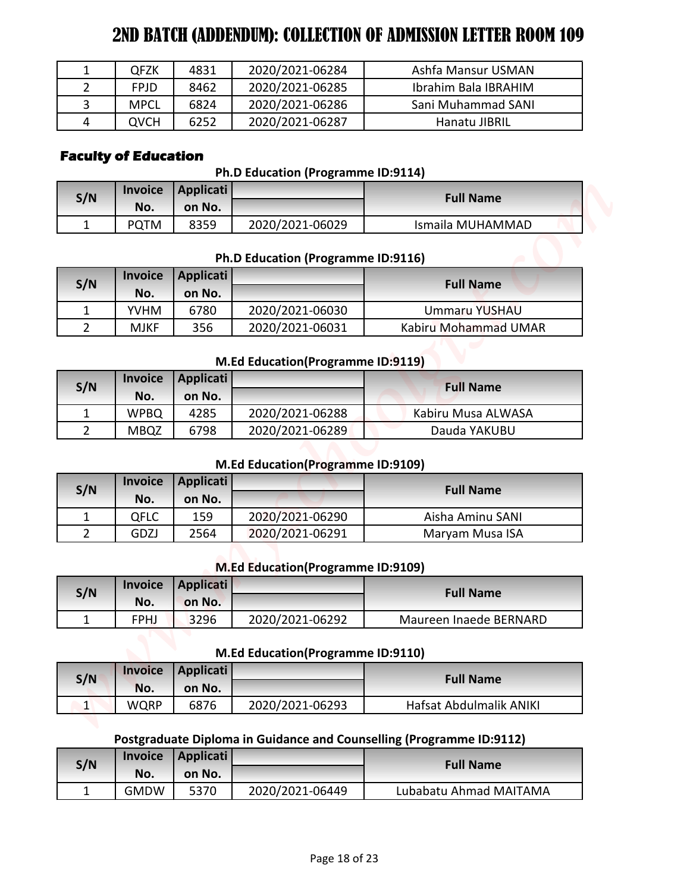|   | <b>QFZK</b> | 4831 | 2020/2021-06284 | Ashfa Mansur USMAN   |
|---|-------------|------|-----------------|----------------------|
|   | <b>FPJD</b> | 8462 | 2020/2021-06285 | Ibrahim Bala IBRAHIM |
|   | <b>MPCL</b> | 6824 | 2020/2021-06286 | Sani Muhammad SANI   |
| 4 | QVCH        | 6252 | 2020/2021-06287 | Hanatu JIBRIL        |

# **Faculty of Education**

### **Ph.D Education (Programme ID:9114)**

| S/N | <b>Invoice</b> | Applicati |                 | <b>Full Name</b> |
|-----|----------------|-----------|-----------------|------------------|
|     | No.<br>on No.  |           |                 |                  |
| -   | <b>PQTM</b>    | 8359      | 2020/2021-06029 | Ismaila MUHAMMAD |

### **Ph.D Education (Programme ID:9116)**

| $\mathbf{1}$                   | <b>QFZK</b>                 | 4831                       | 2020/2021-06284                           | Ashfa Mansur USMAN                                                   |
|--------------------------------|-----------------------------|----------------------------|-------------------------------------------|----------------------------------------------------------------------|
| $\overline{2}$                 | <b>FPJD</b>                 | 8462                       | 2020/2021-06285                           | Ibrahim Bala IBRAHIM                                                 |
| 3                              | <b>MPCL</b>                 | 6824                       | 2020/2021-06286                           | Sani Muhammad SANI                                                   |
| 4                              | <b>QVCH</b>                 | 6252                       | 2020/2021-06287                           | Hanatu JIBRIL                                                        |
|                                | <b>Faculty of Education</b> |                            | Ph.D Education (Programme ID:9114)        |                                                                      |
| S/N                            | <b>Invoice</b>              | <b>Applicati</b>           |                                           | <b>Full Name</b>                                                     |
|                                | No.                         | on No.                     |                                           |                                                                      |
| $\mathbf{1}$                   | <b>PQTM</b>                 | 8359                       | 2020/2021-06029                           | Ismaila MUHAMMAD                                                     |
|                                | <b>Invoice</b>              | <b>Applicati</b>           | Ph.D Education (Programme ID:9116)        | <b>Full Name</b>                                                     |
| S/N                            | No.                         | on No.                     |                                           |                                                                      |
| $\mathbf{1}$                   | <b>YVHM</b>                 | 6780                       | 2020/2021-06030                           | Ummaru YUSHAU                                                        |
| $\overline{2}$                 | <b>MJKF</b>                 | 356                        | 2020/2021-06031                           | Kabiru Mohammad UMAR                                                 |
| S/N                            | <b>Invoice</b>              | <b>Applicati</b>           | M.Ed Education(Programme ID:9119)         | <b>Full Name</b>                                                     |
|                                | No.                         | on No.                     |                                           |                                                                      |
| $\mathbf{1}$                   | <b>WPBQ</b>                 | 4285                       | 2020/2021-06288                           | Kabiru Musa ALWASA                                                   |
| $\overline{2}$                 | <b>MBQZ</b>                 | 6798                       | 2020/2021-06289                           | Dauda YAKUBU                                                         |
|                                |                             |                            | <b>M.Ed Education (Programme ID:9109)</b> |                                                                      |
| S/N                            | <b>Invoice</b>              | <b>Applicati</b>           |                                           | <b>Full Name</b>                                                     |
|                                | No.                         | on No.                     | 2020/2021-06290                           |                                                                      |
| $\mathbf{1}$<br>$\overline{2}$ | <b>QFLC</b><br>GDZJ         | 159                        | 2020/2021-06291                           | Aisha Aminu SANI                                                     |
|                                |                             | 2564                       |                                           | Maryam Musa ISA                                                      |
|                                |                             |                            | <b>M.Ed Education (Programme ID:9109)</b> |                                                                      |
| S/N                            | <b>Invoice</b><br>No.       | <b>Applicati</b><br>on No. |                                           | <b>Full Name</b>                                                     |
| $\mathbf{1}$                   | <b>FPHJ</b>                 | 3296                       | 2020/2021-06292                           | Maureen Inaede BERNARD                                               |
|                                |                             |                            | M.Ed Education(Programme ID:9110)         |                                                                      |
|                                | <b>Invoice</b>              | <b>Applicati</b>           |                                           |                                                                      |
| S/N                            | No.                         | on No.                     |                                           | <b>Full Name</b>                                                     |
| $\vert$ 1                      | <b>WQRP</b>                 | 6876                       | 2020/2021-06293                           | Hafsat Abdulmalik ANIKI                                              |
|                                |                             |                            |                                           | Postgraduate Diploma in Guidance and Counselling (Programme ID:9112) |
|                                | <b>Invoice</b>              | <b>Applicati</b>           |                                           | <b>Full Name</b>                                                     |
| S/N                            |                             |                            |                                           |                                                                      |
| $\mathbf{1}$                   | No.<br><b>GMDW</b>          | on No.<br>5370             | 2020/2021-06449                           | Lubabatu Ahmad MAITAMA                                               |

# **M.Ed Education(Programme ID:9119)**

| S/N | <b>Invoice</b> | Applicati |                 | <b>Full Name</b>   |
|-----|----------------|-----------|-----------------|--------------------|
|     | No.            | on No.    |                 |                    |
|     | <b>WPBQ</b>    | 4285      | 2020/2021-06288 | Kabiru Musa ALWASA |
|     | <b>MBQZ</b>    | 6798      | 2020/2021-06289 | Dauda YAKUBU       |

#### **M.Ed Education(Programme ID:9109)**

| S/N | Applicati<br><b>Invoice</b> |        |                 | <b>Full Name</b> |
|-----|-----------------------------|--------|-----------------|------------------|
|     | No.                         | on No. |                 |                  |
|     | OFLC                        | 159    | 2020/2021-06290 | Aisha Aminu SANI |
|     | GDZJ                        | 2564   | 2020/2021-06291 | Maryam Musa ISA  |

## **M.Ed Education(Programme ID:9109)**

| S/N | <b>Invoice</b> | Applicati |                 | <b>Full Name</b>       |  |
|-----|----------------|-----------|-----------------|------------------------|--|
|     | No.            | on No.    |                 |                        |  |
|     | <b>FPHJ</b>    | 3296      | 2020/2021-06292 | Maureen Inaede BERNARD |  |

# **M.Ed Education(Programme ID:9110)**

| S/N    | <b>Invoice</b> | Applicati |                 | <b>Full Name</b>        |
|--------|----------------|-----------|-----------------|-------------------------|
|        | No.            | on No.    |                 |                         |
| л<br>⊥ | WQRP           | 6876      | 2020/2021-06293 | Hafsat Abdulmalik ANIKI |

# **Postgraduate Diploma in Guidance and Counselling (Programme ID:9112)**

| S/N | <b>Invoice</b> | Applicati |                 | <b>Full Name</b>       |  |
|-----|----------------|-----------|-----------------|------------------------|--|
|     | No.            | on No.    |                 |                        |  |
|     | <b>GMDW</b>    | 5370      | 2020/2021-06449 | Lubabatu Ahmad MAITAMA |  |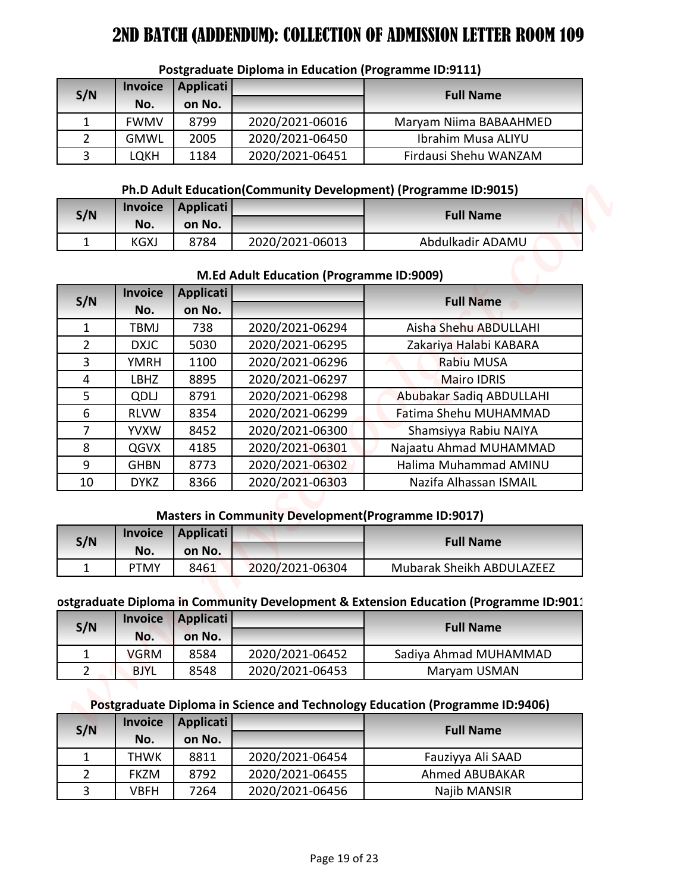| S/N | <b>Invoice</b><br>No. | <b>Applicati</b><br>on No. |                 | <b>Full Name</b>       |
|-----|-----------------------|----------------------------|-----------------|------------------------|
|     | <b>FWMV</b>           | 8799                       | 2020/2021-06016 | Maryam Niima BABAAHMED |
|     | <b>GMWL</b>           | 2005                       | 2020/2021-06450 | Ibrahim Musa ALIYU     |
|     | LQKH                  | 1184                       | 2020/2021-06451 | Firdausi Shehu WANZAM  |

### **Postgraduate Diploma in Education (Programme ID:9111)**

### **Ph.D Adult Education(Community Development) (Programme ID:9015)**

| S/N |             | Invoice   Applicati |                 | <b>Full Name</b> |
|-----|-------------|---------------------|-----------------|------------------|
|     | No.         | on No.              |                 |                  |
|     | <b>KGXJ</b> | 8784                | 2020/2021-06013 | Abdulkadir ADAMU |

#### **M.Ed Adult Education (Programme ID:9009)**

|                                |                    |                  | <b>Postgraduate Diploma in Education (Programme ID:9111)</b> |                                                                                       |
|--------------------------------|--------------------|------------------|--------------------------------------------------------------|---------------------------------------------------------------------------------------|
| S/N                            | <b>Invoice</b>     | <b>Applicati</b> |                                                              | <b>Full Name</b>                                                                      |
|                                | No.                | on No.           |                                                              |                                                                                       |
| 1                              | <b>FWMV</b>        | 8799             | 2020/2021-06016                                              | Maryam Niima BABAAHMED                                                                |
| $\overline{2}$                 | <b>GMWL</b>        | 2005             | 2020/2021-06450                                              | Ibrahim Musa ALIYU                                                                    |
| 3                              | <b>LQKH</b>        | 1184             | 2020/2021-06451                                              | Firdausi Shehu WANZAM                                                                 |
|                                |                    |                  |                                                              | Ph.D Adult Education(Community Development) (Programme ID:9015)                       |
| S/N                            | <b>Invoice</b>     | <b>Applicati</b> |                                                              | <b>Full Name</b>                                                                      |
|                                | No.                | on No.           |                                                              |                                                                                       |
| $\mathbf{1}$                   | <b>KGXJ</b>        | 8784             | 2020/2021-06013                                              | Abdulkadir ADAMU                                                                      |
|                                |                    |                  | M.Ed Adult Education (Programme ID:9009)                     |                                                                                       |
|                                | <b>Invoice</b>     | <b>Applicati</b> |                                                              |                                                                                       |
| S/N                            | No.                | on No.           |                                                              | <b>Full Name</b>                                                                      |
| 1                              | TBMJ               | 738              | 2020/2021-06294                                              | Aisha Shehu ABDULLAHI                                                                 |
| $\overline{2}$                 | <b>DXJC</b>        | 5030             | 2020/2021-06295                                              | Zakariya Halabi KABARA                                                                |
| 3                              | <b>YMRH</b>        | 1100             | 2020/2021-06296                                              | Rabiu MUSA                                                                            |
| 4                              | <b>LBHZ</b>        | 8895             | 2020/2021-06297                                              | <b>Mairo IDRIS</b>                                                                    |
| 5                              | QDLJ               | 8791             | 2020/2021-06298                                              | Abubakar Sadiq ABDULLAHI                                                              |
| 6                              | <b>RLVW</b>        | 8354             | 2020/2021-06299                                              | Fatima Shehu MUHAMMAD                                                                 |
| $\overline{7}$                 | <b>YVXW</b>        | 8452             | 2020/2021-06300                                              | Shamsiyya Rabiu NAIYA                                                                 |
| 8                              | QGVX               | 4185             | 2020/2021-06301                                              | Najaatu Ahmad MUHAMMAD                                                                |
| 9                              | <b>GHBN</b>        | 8773             | 2020/2021-06302                                              | Halima Muhammad AMINU                                                                 |
| 10                             | <b>DYKZ</b>        | 8366             | 2020/2021-06303                                              | Nazifa Alhassan ISMAIL                                                                |
|                                |                    |                  | <b>Masters in Community Development (Programme ID:9017)</b>  |                                                                                       |
|                                | <b>Invoice</b>     | <b>Applicati</b> |                                                              |                                                                                       |
| S/N                            | No.                | on No.           |                                                              | <b>Full Name</b>                                                                      |
| $\mathbf{1}$                   | <b>PTMY</b>        | 8461             | 2020/2021-06304                                              | Mubarak Sheikh ABDULAZEEZ                                                             |
|                                |                    |                  |                                                              |                                                                                       |
|                                | <b>Invoice</b>     | <b>Applicati</b> |                                                              | ostgraduate Diploma in Community Development & Extension Education (Programme ID:9011 |
| S/N                            |                    | on No.           |                                                              | <b>Full Name</b>                                                                      |
|                                | No.<br><b>VGRM</b> | 8584             | 2020/2021-06452                                              | Sadiya Ahmad MUHAMMAD                                                                 |
| $\mathbf{1}$<br>$\overline{2}$ | <b>BJYL</b>        | 8548             | 2020/2021-06453                                              | Maryam USMAN                                                                          |
|                                |                    |                  |                                                              |                                                                                       |
|                                |                    |                  |                                                              | Postgraduate Diploma in Science and Technology Education (Programme ID:9406)          |
|                                | <b>Invoice</b>     | <b>Applicati</b> |                                                              | <b>Full Name</b>                                                                      |
|                                | No.                | on No.           |                                                              |                                                                                       |
| S/N                            |                    |                  |                                                              |                                                                                       |
| $\mathbf{1}$                   | <b>THWK</b>        | 8811             | 2020/2021-06454                                              | Fauziyya Ali SAAD                                                                     |
| $\overline{2}$<br>3            | <b>FKZM</b>        | 8792             | 2020/2021-06455<br>2020/2021-06456                           | Ahmed ABUBAKAR                                                                        |

#### **Masters in Community Development(Programme ID:9017)**

| S/N           |             | Invoice   Applicati |                 | <b>Full Name</b>                 |
|---------------|-------------|---------------------|-----------------|----------------------------------|
|               | No.         | on No.              |                 |                                  |
| <u>. на с</u> | <b>PTMY</b> | 8461                | 2020/2021-06304 | <b>Mubarak Sheikh ABDULAZEEZ</b> |

## **Postgraduate Diploma in Community Development & Extension Education (Programme ID:9011)**

| S/N |             | Invoice Applicati |                 | <b>Full Name</b>      |
|-----|-------------|-------------------|-----------------|-----------------------|
|     | No.         | on No.            |                 |                       |
|     | <b>VGRM</b> | 8584              | 2020/2021-06452 | Sadiya Ahmad MUHAMMAD |
|     | <b>BJYL</b> | 8548              | 2020/2021-06453 | Maryam USMAN          |

#### **Postgraduate Diploma in Science and Technology Education (Programme ID:9406)**

| S/N | <b>Invoice</b> | <b>Applicati</b> |                 | <b>Full Name</b>      |
|-----|----------------|------------------|-----------------|-----------------------|
|     | No.            | on No.           |                 |                       |
|     | THWK           | 8811             | 2020/2021-06454 | Fauziyya Ali SAAD     |
|     | <b>FKZM</b>    | 8792             | 2020/2021-06455 | <b>Ahmed ABUBAKAR</b> |
|     | <b>VBFH</b>    | 7264             | 2020/2021-06456 | Najib MANSIR          |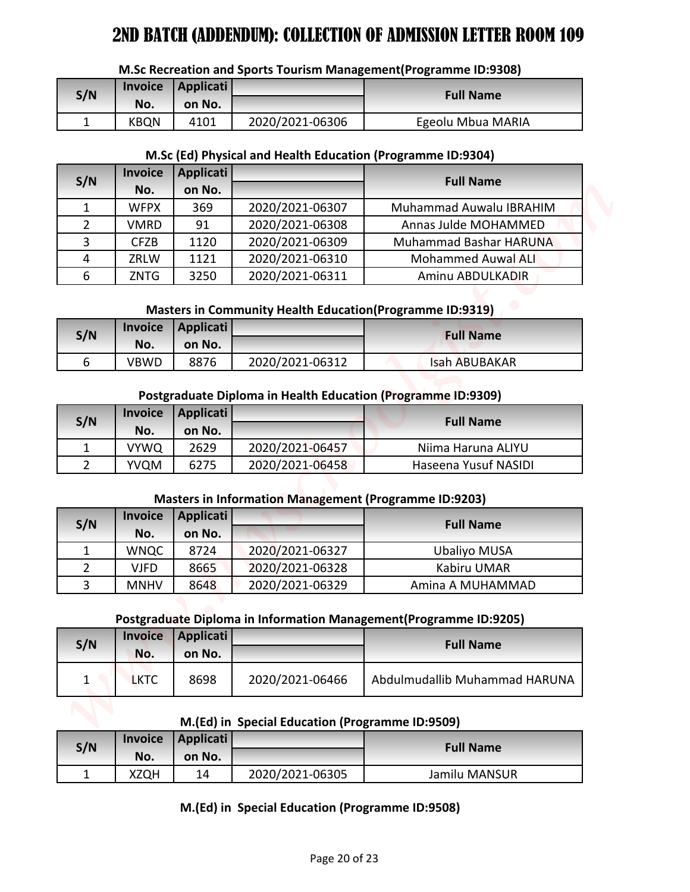|  | M.Sc Recreation and Sports Tourism Management(Programme ID:9308) |
|--|------------------------------------------------------------------|
|--|------------------------------------------------------------------|

| S/N | <b>Invoice</b> | Applicati |                 | <b>Full Name</b>  |
|-----|----------------|-----------|-----------------|-------------------|
|     | No.            | on No.    |                 |                   |
| -   | <b>KBQN</b>    | 4101      | 2020/2021-06306 | Egeolu Mbua MARIA |

## **M.Sc (Ed) Physical and Health Education (Programme ID:9304)**

|                | <b>Invoice</b>     | <b>Applicati</b> |                                                 | M.Sc Recreation and Sports Tourism Management(Programme ID:9308)   |
|----------------|--------------------|------------------|-------------------------------------------------|--------------------------------------------------------------------|
| S/N            | No.                | on No.           |                                                 | <b>Full Name</b>                                                   |
| $\mathbf{1}$   | <b>KBQN</b>        | 4101             | 2020/2021-06306                                 | Egeolu Mbua MARIA                                                  |
|                |                    |                  |                                                 |                                                                    |
|                |                    |                  |                                                 | M.Sc (Ed) Physical and Health Education (Programme ID:9304)        |
| S/N            | <b>Invoice</b>     | <b>Applicati</b> |                                                 | <b>Full Name</b>                                                   |
|                | No.                | on No.           |                                                 |                                                                    |
| $\mathbf{1}$   | <b>WFPX</b>        | 369              | 2020/2021-06307                                 | Muhammad Auwalu IBRAHIM                                            |
| $\overline{2}$ | <b>VMRD</b>        | 91               | 2020/2021-06308                                 | Annas Julde MOHAMMED                                               |
| 3              | <b>CFZB</b>        | 1120             | 2020/2021-06309                                 | Muhammad Bashar HARUNA                                             |
| 4              | ZRLW               | 1121             | 2020/2021-06310                                 | <b>Mohammed Auwal ALI</b>                                          |
| 6              | <b>ZNTG</b>        | 3250             | 2020/2021-06311                                 | Aminu ABDULKADIR                                                   |
|                |                    |                  |                                                 | Masters in Community Health Education(Programme ID:9319)           |
|                | <b>Invoice</b>     | <b>Applicati</b> |                                                 |                                                                    |
| S/N            | No.                | on No.           |                                                 | <b>Full Name</b>                                                   |
| 6              | <b>VBWD</b>        | 8876             | 2020/2021-06312                                 | <b>Isah ABUBAKAR</b>                                               |
|                |                    |                  |                                                 |                                                                    |
|                |                    |                  |                                                 | Postgraduate Diploma in Health Education (Programme ID:9309)       |
| S/N            | <b>Invoice</b>     | <b>Applicati</b> |                                                 | <b>Full Name</b>                                                   |
|                | No.                | on No.           |                                                 |                                                                    |
| 1              | <b>VYWQ</b>        | 2629             | 2020/2021-06457                                 | Niima Haruna ALIYU                                                 |
| $\overline{2}$ | <b>YVQM</b>        | 6275             | 2020/2021-06458                                 | Haseena Yusuf NASIDI                                               |
|                |                    |                  |                                                 | <b>Masters in Information Management (Programme ID:9203)</b>       |
|                |                    |                  |                                                 |                                                                    |
|                |                    |                  |                                                 |                                                                    |
| S/N            | <b>Invoice</b>     | <b>Applicati</b> |                                                 | <b>Full Name</b>                                                   |
|                | No.                | on No.           |                                                 |                                                                    |
| 1              | <b>WNQC</b>        | 8724             | 2020/2021-06327                                 | <b>Ubaliyo MUSA</b>                                                |
| $\overline{2}$ | <b>VJFD</b>        | 8665             | 2020/2021-06328                                 | Kabiru UMAR                                                        |
| 3              | <b>MNHV</b>        | 8648             | 2020/2021-06329                                 | Amina A MUHAMMAD                                                   |
|                |                    |                  |                                                 | Postgraduate Diploma in Information Management (Programme ID:9205) |
|                | <b>Invoice</b>     | <b>Applicati</b> |                                                 |                                                                    |
| S/N            | No.                | on No.           |                                                 | <b>Full Name</b>                                                   |
| $\mathbf{1}$   | <b>LKTC</b>        | 8698             | 2020/2021-06466                                 | Abdulmudallib Muhammad HARUNA                                      |
|                |                    |                  |                                                 |                                                                    |
|                |                    |                  |                                                 |                                                                    |
|                |                    |                  | M.(Ed) in Special Education (Programme ID:9509) |                                                                    |
| S/N            | <b>Invoice</b>     | <b>Applicati</b> |                                                 | <b>Full Name</b>                                                   |
| $\mathbf 1$    | No.<br><b>XZQH</b> | on No.<br>14     | 2020/2021-06305                                 | Jamilu MANSUR                                                      |

# **Masters in Community Health Education(Programme ID:9319)**

| S/N |      | Invoice   Applicati |                 | <b>Full Name</b>     |
|-----|------|---------------------|-----------------|----------------------|
|     | No.  | on No.              |                 |                      |
|     | VBWD | 8876                | 2020/2021-06312 | <b>Isah ABUBAKAR</b> |

# **Postgraduate Diploma in Health Education (Programme ID:9309)**

| S/N | <b>Invoice</b> | Applicati |                 | <b>Full Name</b>     |
|-----|----------------|-----------|-----------------|----------------------|
|     | No.            | on No.    |                 |                      |
|     | <b>VYWQ</b>    | 2629      | 2020/2021-06457 | Niima Haruna ALIYU   |
|     | YVQM           | 6275      | 2020/2021-06458 | Haseena Yusuf NASIDI |

# **Masters in Information Management (Programme ID:9203)**

| S/N           | <b>Invoice</b> | Applicati |                 | <b>Full Name</b>    |
|---------------|----------------|-----------|-----------------|---------------------|
|               | No.            | on No.    |                 |                     |
|               | <b>WNQC</b>    | 8724      | 2020/2021-06327 | <b>Ubaliyo MUSA</b> |
| $\mathcal{P}$ | VJFD           | 8665      | 2020/2021-06328 | Kabiru UMAR         |
| ર             | <b>MNHV</b>    | 8648      | 2020/2021-06329 | Amina A MUHAMMAD    |

# **Postgraduate Diploma in Information Management(Programme ID:9205)**

| S/N | <b>Invoice</b><br>No. | Applicati<br>on No. |                 | <b>Full Name</b>              |
|-----|-----------------------|---------------------|-----------------|-------------------------------|
|     | <b>LKTC</b>           | 8698                | 2020/2021-06466 | Abdulmudallib Muhammad HARUNA |

# **M.(Ed) in Special Education (Programme ID:9509)**

| S/N | <b>Invoice</b> | Applicati |                 |                  |
|-----|----------------|-----------|-----------------|------------------|
|     | No.            | on No.    |                 | <b>Full Name</b> |
| -   | XZQH           | 14        | 2020/2021-06305 | Jamilu MANSUR    |

# **M.(Ed) in Special Education (Programme ID:9508)**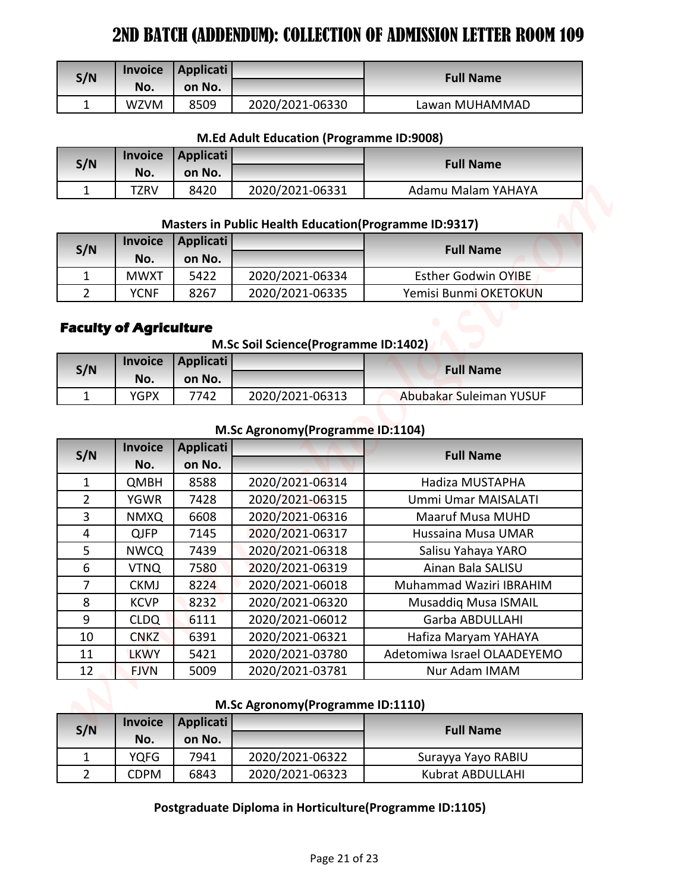| S/N      | <b>Invoice</b><br>No. | Applicati  <br>on No. |                 | <b>Full Name</b> |
|----------|-----------------------|-----------------------|-----------------|------------------|
| <b>.</b> | <b>WZVM</b>           | 8509                  | 2020/2021-06330 | Lawan MUHAMMAD   |

### **M.Ed Adult Education (Programme ID:9008)**

| S/N | <b>Invoice</b> | Applicati |                 | <b>Full Name</b>   |
|-----|----------------|-----------|-----------------|--------------------|
|     | No.            | on No.    |                 |                    |
| -   | TZRV           | 8420      | 2020/2021-06331 | Adamu Malam YAHAYA |

#### **Masters in Public Health Education(Programme ID:9317)**

| S/N |             | Invoice   Applicati |                 | <b>Full Name</b>           |
|-----|-------------|---------------------|-----------------|----------------------------|
|     | No.         | on No.              |                 |                            |
|     | MWXT        | 5422                | 2020/2021-06334 | <b>Esther Godwin OYIBE</b> |
|     | <b>YCNF</b> | 8267                | 2020/2021-06335 | Yemisi Bunmi OKETOKUN      |

# **Faculty of Agriculture**

**M.Sc Soil Science(Programme ID:1402)**

| S/N |      | Invoice   Applicati |                 | <b>Full Name</b>        |
|-----|------|---------------------|-----------------|-------------------------|
|     | No.  | on No.              |                 |                         |
|     | YGPX | 7742                | 2020/2021-06313 | Abubakar Suleiman YUSUF |

### **M.Sc Agronomy(Programme ID:1104)**

| S/N                            | <b>Invoice</b>             | <b>Applicati</b>           |                                                               | <b>Full Name</b>                       |  |
|--------------------------------|----------------------------|----------------------------|---------------------------------------------------------------|----------------------------------------|--|
|                                | No.                        | on No.                     |                                                               |                                        |  |
| $\mathbf{1}$                   | <b>WZVM</b>                | 8509                       | 2020/2021-06330                                               | Lawan MUHAMMAD                         |  |
|                                |                            |                            | M.Ed Adult Education (Programme ID:9008)                      |                                        |  |
|                                | <b>Invoice</b>             | <b>Applicati</b>           |                                                               |                                        |  |
| S/N                            | No.                        | on No.                     |                                                               | <b>Full Name</b>                       |  |
| $\mathbf{1}$                   | <b>TZRV</b>                | 8420                       | 2020/2021-06331                                               | Adamu Malam YAHAYA                     |  |
|                                |                            |                            | <b>Masters in Public Health Education (Programme ID:9317)</b> |                                        |  |
|                                | <b>Invoice</b>             | <b>Applicati</b>           |                                                               |                                        |  |
| S/N                            | No.                        | on No.                     |                                                               | <b>Full Name</b>                       |  |
| $\mathbf{1}$                   | <b>MWXT</b>                | 5422                       | 2020/2021-06334                                               | <b>Esther Godwin OYIBE</b>             |  |
| $\overline{2}$                 | <b>YCNF</b>                | 8267                       | 2020/2021-06335                                               | Yemisi Bunmi OKETOKUN                  |  |
|                                |                            |                            |                                                               |                                        |  |
|                                |                            |                            | M.Sc Agronomy (Programme ID:1104)                             |                                        |  |
| S/N                            | <b>Invoice</b><br>No.      | <b>Applicati</b><br>on No. |                                                               | <b>Full Name</b>                       |  |
| $\mathbf{1}$                   | <b>QMBH</b>                | 8588                       | 2020/2021-06314                                               | Hadiza MUSTAPHA                        |  |
| $\overline{2}$                 | <b>YGWR</b>                | 7428                       | 2020/2021-06315                                               | Ummi Umar MAISALATI                    |  |
| $\overline{3}$                 | <b>NMXQ</b>                | 6608                       | 2020/2021-06316                                               | <b>Maaruf Musa MUHD</b>                |  |
| 4                              | <b>QJFP</b>                | 7145                       | 2020/2021-06317                                               | Hussaina Musa UMAR                     |  |
| 5                              | <b>NWCQ</b>                | 7439                       | 2020/2021-06318                                               | Salisu Yahaya YARO                     |  |
| 6                              | <b>VTNQ</b>                | 7580                       | 2020/2021-06319                                               | Ainan Bala SALISU                      |  |
| $\overline{7}$                 | <b>CKMJ</b>                | 8224                       | 2020/2021-06018                                               | Muhammad Waziri IBRAHIM                |  |
| 8                              | <b>KCVP</b>                | 8232                       | 2020/2021-06320                                               | <b>Musaddig Musa ISMAIL</b>            |  |
| 9                              | <b>CLDQ</b>                | 6111                       | 2020/2021-06012                                               | Garba ABDULLAHI                        |  |
| 10                             | <b>CNKZ</b>                | 6391                       | 2020/2021-06321                                               | Hafiza Maryam YAHAYA                   |  |
| 11                             | <b>LKWY</b>                | 5421                       | 2020/2021-03780                                               | Adetomiwa Israel OLAADEYEMO            |  |
| 12                             | <b>FJVN</b>                | 5009                       | 2020/2021-03781                                               | Nur Adam IMAM                          |  |
|                                |                            |                            | M.Sc Agronomy (Programme ID:1110)                             |                                        |  |
|                                | <b>Invoice</b>             | <b>Applicati</b>           |                                                               |                                        |  |
| S/N                            | No.                        | on No.                     |                                                               | <b>Full Name</b>                       |  |
| $\mathbf{1}$<br>$\overline{2}$ | <b>YQFG</b><br><b>CDPM</b> | 7941<br>6843               | 2020/2021-06322<br>2020/2021-06323                            | Surayya Yayo RABIU<br>Kubrat ABDULLAHI |  |

## **M.Sc Agronomy(Programme ID:1110)**

| S/N | <b>Invoice</b> | Applicati |                 | <b>Full Name</b>   |
|-----|----------------|-----------|-----------------|--------------------|
|     | No.            | on No.    |                 |                    |
|     | YOFG           | 7941      | 2020/2021-06322 | Surayya Yayo RABIU |
|     | <b>CDPM</b>    | 6843      | 2020/2021-06323 | Kubrat ABDULLAHI   |

# **Postgraduate Diploma in Horticulture(Programme ID:1105)**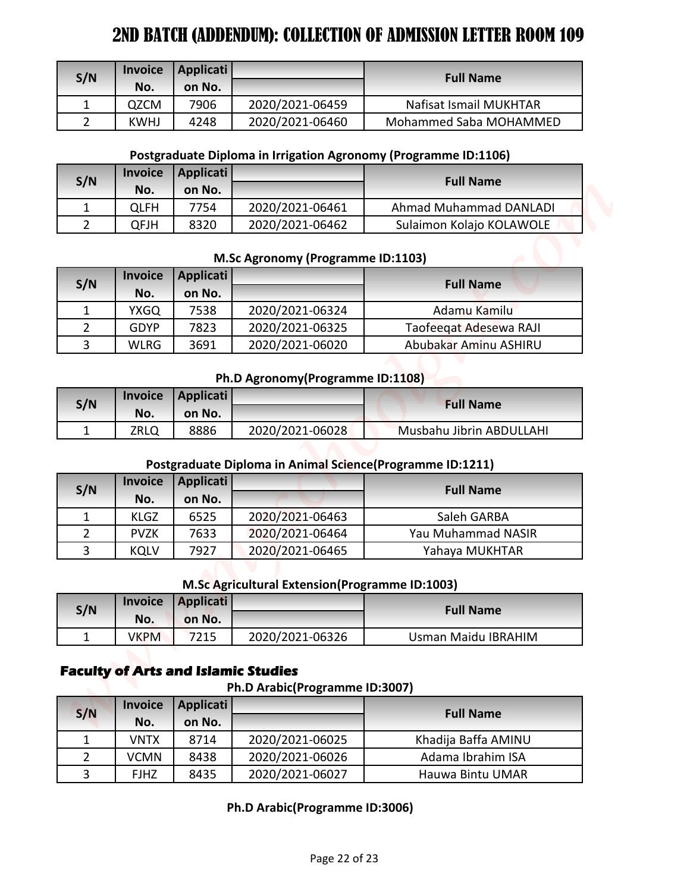| S/N | <b>Invoice</b> | <b>Applicati</b> |                 | <b>Full Name</b>       |
|-----|----------------|------------------|-----------------|------------------------|
|     | No.            | on No.           |                 |                        |
|     | <b>QZCM</b>    | 7906             | 2020/2021-06459 | Nafisat Ismail MUKHTAR |
|     | <b>KWHJ</b>    | 4248             | 2020/2021-06460 | Mohammed Saba MOHAMMED |

# **Postgraduate Diploma in Irrigation Agronomy (Programme ID:1106)**

| S/N | <b>Invoice</b> | Applicati |                 | <b>Full Name</b>         |
|-----|----------------|-----------|-----------------|--------------------------|
|     | No.            | on No.    |                 |                          |
|     | OLFH           | 7754      | 2020/2021-06461 | Ahmad Muhammad DANLADI   |
|     | QFJH           | 8320      | 2020/2021-06462 | Sulaimon Kolajo KOLAWOLE |

### **M.Sc Agronomy (Programme ID:1103)**

| S/N | <b>Invoice</b> | Applicati |                 | <b>Full Name</b>       |
|-----|----------------|-----------|-----------------|------------------------|
|     | No.            | on No.    |                 |                        |
|     | <b>YXGQ</b>    | 7538      | 2020/2021-06324 | Adamu Kamilu           |
|     | GDYP           | 7823      | 2020/2021-06325 | Taofeegat Adesewa RAJI |
|     | <b>WLRG</b>    | 3691      | 2020/2021-06020 | Abubakar Aminu ASHIRU  |

## **Ph.D Agronomy(Programme ID:1108)**

| S/N | <b>Invoice</b> | Applicati |                 | <b>Full Name</b>         |
|-----|----------------|-----------|-----------------|--------------------------|
|     | No.            | on No.    |                 |                          |
|     | ZRLQ           | 8886      | 2020/2021-06028 | Musbahu Jibrin ABDULLAHI |

## **Postgraduate Diploma in Animal Science(Programme ID:1211)**

| S/N | <b>Invoice</b> | Applicati |                 | <b>Full Name</b>   |
|-----|----------------|-----------|-----------------|--------------------|
|     | No.            | on No.    |                 |                    |
|     | <b>KLGZ</b>    | 6525      | 2020/2021-06463 | Saleh GARBA        |
|     | <b>PVZK</b>    | 7633      | 2020/2021-06464 | Yau Muhammad NASIR |
| 3   | <b>KQLV</b>    | 7927      | 2020/2021-06465 | Yahaya MUKHTAR     |

## **M.Sc Agricultural Extension(Programme ID:1003)**

| S/N |               | Invoice Applicati |                 | <b>Full Name</b>    |  |
|-----|---------------|-------------------|-----------------|---------------------|--|
|     | No.<br>on No. |                   |                 |                     |  |
|     | <b>VKPM</b>   | 7215              | 2020/2021-06326 | Usman Maidu IBRAHIM |  |

# **Faculty of Arts and Islamic Studies**

#### **Ph.D Arabic(Programme ID:3007)**

| S/N            | <b>Invoice</b>        | <b>Applicati</b>                           |                                                           | <b>Full Name</b>                                                |
|----------------|-----------------------|--------------------------------------------|-----------------------------------------------------------|-----------------------------------------------------------------|
|                | No.                   | on No.                                     |                                                           |                                                                 |
| $\mathbf 1$    | QZCM                  | 7906                                       | 2020/2021-06459                                           | Nafisat Ismail MUKHTAR                                          |
| $\overline{2}$ | <b>KWHJ</b>           | 4248                                       | 2020/2021-06460                                           | Mohammed Saba MOHAMMED                                          |
|                |                       |                                            |                                                           | Postgraduate Diploma in Irrigation Agronomy (Programme ID:1106) |
| S/N            | <b>Invoice</b>        | <b>Applicati</b><br>on No.                 |                                                           | <b>Full Name</b>                                                |
| $\mathbf 1$    | No.<br><b>QLFH</b>    | 7754                                       | 2020/2021-06461                                           | <b>Ahmad Muhammad DANLADI</b>                                   |
| $\overline{2}$ | <b>QFJH</b>           | 8320                                       | 2020/2021-06462                                           | Sulaimon Kolajo KOLAWOLE                                        |
| S/N            | <b>Invoice</b>        | <b>Applicati</b>                           | M.Sc Agronomy (Programme ID:1103)                         | <b>Full Name</b>                                                |
|                | No.                   | on No.                                     |                                                           |                                                                 |
| $\mathbf{1}$   | <b>YXGQ</b>           | 7538                                       | 2020/2021-06324                                           | Adamu Kamilu                                                    |
| $\overline{2}$ | <b>GDYP</b>           | 7823                                       | 2020/2021-06325                                           | Taofeegat Adesewa RAJI                                          |
| 3              | <b>WLRG</b>           | 3691                                       | 2020/2021-06020                                           | Abubakar Aminu ASHIRU                                           |
|                |                       |                                            | Ph.D Agronomy (Programme ID:1108)                         |                                                                 |
| S/N            | <b>Invoice</b>        | <b>Applicati</b>                           |                                                           | <b>Full Name</b>                                                |
|                | No.                   | on No.                                     |                                                           |                                                                 |
| 1              | <b>ZRLQ</b>           | 8886                                       | 2020/2021-06028                                           | Musbahu Jibrin ABDULLAHI                                        |
|                |                       |                                            | Postgraduate Diploma in Animal Science(Programme ID:1211) |                                                                 |
| S/N            | <b>Invoice</b>        | <b>Applicati</b>                           |                                                           | <b>Full Name</b>                                                |
|                | No.                   | on No.                                     |                                                           |                                                                 |
| $\mathbf{1}$   | <b>KLGZ</b>           | 6525                                       | 2020/2021-06463                                           | Saleh GARBA                                                     |
|                | <b>PVZK</b>           | 7633                                       | 2020/2021-06464                                           | Yau Muhammad NASIR                                              |
| $\overline{2}$ | <b>KQLV</b>           | 7927                                       | 2020/2021-06465                                           | Yahaya MUKHTAR                                                  |
| 3              |                       |                                            |                                                           |                                                                 |
|                |                       |                                            | M.Sc Agricultural Extension(Programme ID:1003)            |                                                                 |
|                | <b>Invoice</b>        | <b>Applicati</b>                           |                                                           |                                                                 |
| S/N            | No.                   | on No.                                     |                                                           | <b>Full Name</b>                                                |
| $\mathbf{1}$   | <b>VKPM</b>           | 7215                                       | 2020/2021-06326                                           | Usman Maidu IBRAHIM                                             |
|                |                       | <b>Faculty of Arts and Islamic Studies</b> | Ph.D Arabic(Programme ID:3007)                            |                                                                 |
| S/N            | <b>Invoice</b><br>No. | <b>Applicati</b><br>on No.                 |                                                           | <b>Full Name</b>                                                |
| 1              | <b>VNTX</b>           | 8714                                       | 2020/2021-06025                                           | Khadija Baffa AMINU                                             |
| $\overline{2}$ | <b>VCMN</b>           | 8438                                       | 2020/2021-06026                                           | Adama Ibrahim ISA                                               |